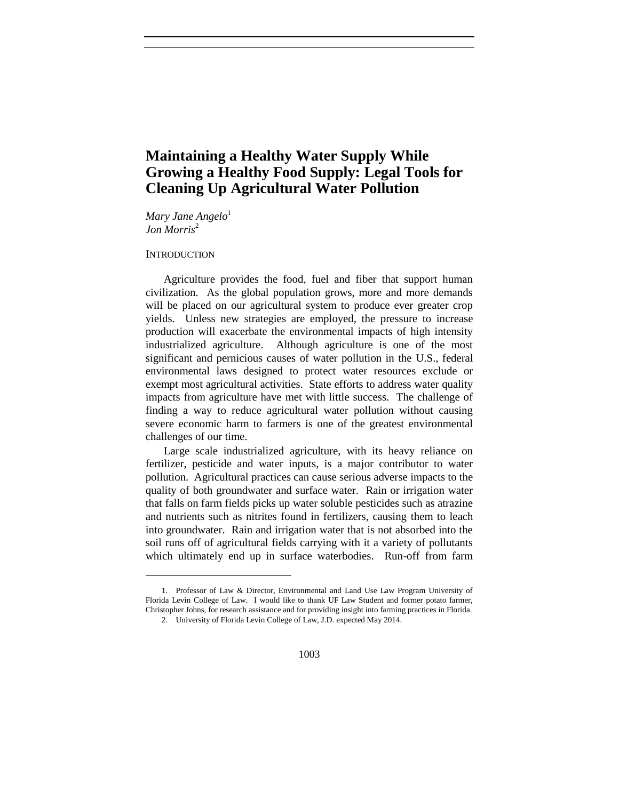# **Maintaining a Healthy Water Supply While Growing a Healthy Food Supply: Legal Tools for Cleaning Up Agricultural Water Pollution**

*Mary Jane Angelo*<sup>1</sup> *Jon Morris*<sup>2</sup>

### **INTRODUCTION**

l

Agriculture provides the food, fuel and fiber that support human civilization. As the global population grows, more and more demands will be placed on our agricultural system to produce ever greater crop yields. Unless new strategies are employed, the pressure to increase production will exacerbate the environmental impacts of high intensity industrialized agriculture. Although agriculture is one of the most significant and pernicious causes of water pollution in the U.S., federal environmental laws designed to protect water resources exclude or exempt most agricultural activities. State efforts to address water quality impacts from agriculture have met with little success. The challenge of finding a way to reduce agricultural water pollution without causing severe economic harm to farmers is one of the greatest environmental challenges of our time.

Large scale industrialized agriculture, with its heavy reliance on fertilizer, pesticide and water inputs, is a major contributor to water pollution. Agricultural practices can cause serious adverse impacts to the quality of both groundwater and surface water. Rain or irrigation water that falls on farm fields picks up water soluble pesticides such as atrazine and nutrients such as nitrites found in fertilizers, causing them to leach into groundwater. Rain and irrigation water that is not absorbed into the soil runs off of agricultural fields carrying with it a variety of pollutants which ultimately end up in surface waterbodies. Run-off from farm

<sup>1.</sup> Professor of Law & Director, Environmental and Land Use Law Program University of Florida Levin College of Law. I would like to thank UF Law Student and former potato farmer, Christopher Johns, for research assistance and for providing insight into farming practices in Florida. 2. University of Florida Levin College of Law, J.D. expected May 2014.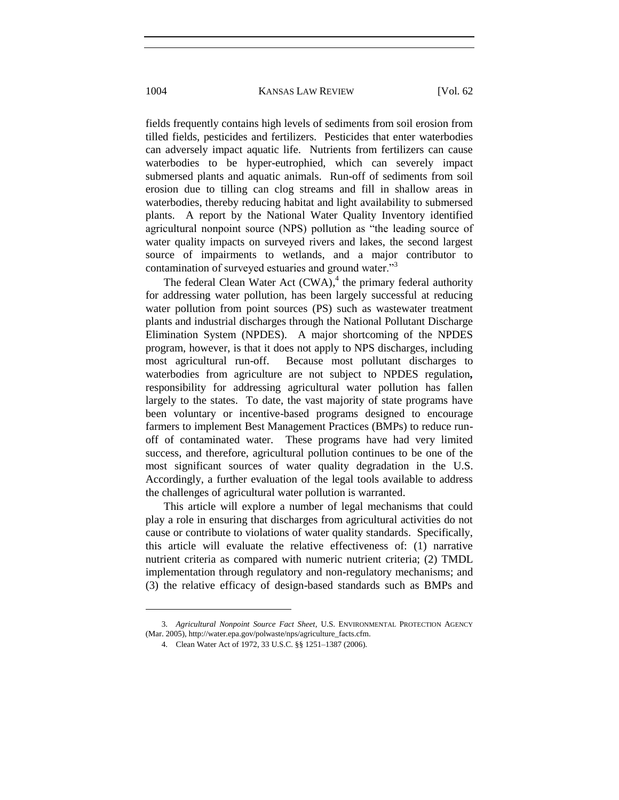fields frequently contains high levels of sediments from soil erosion from tilled fields, pesticides and fertilizers. Pesticides that enter waterbodies can adversely impact aquatic life. Nutrients from fertilizers can cause waterbodies to be hyper-eutrophied, which can severely impact submersed plants and aquatic animals. Run-off of sediments from soil erosion due to tilling can clog streams and fill in shallow areas in waterbodies, thereby reducing habitat and light availability to submersed plants. A report by the National Water Quality Inventory identified agricultural nonpoint source (NPS) pollution as "the leading source of water quality impacts on surveyed rivers and lakes, the second largest source of impairments to wetlands, and a major contributor to contamination of surveyed estuaries and ground water."<sup>3</sup>

The federal Clean Water Act (CWA),<sup>4</sup> the primary federal authority for addressing water pollution, has been largely successful at reducing water pollution from point sources (PS) such as wastewater treatment plants and industrial discharges through the National Pollutant Discharge Elimination System (NPDES). A major shortcoming of the NPDES program, however, is that it does not apply to NPS discharges, including most agricultural run-off. Because most pollutant discharges to waterbodies from agriculture are not subject to NPDES regulation*,*  responsibility for addressing agricultural water pollution has fallen largely to the states. To date, the vast majority of state programs have been voluntary or incentive-based programs designed to encourage farmers to implement Best Management Practices (BMPs) to reduce runoff of contaminated water. These programs have had very limited success, and therefore, agricultural pollution continues to be one of the most significant sources of water quality degradation in the U.S. Accordingly, a further evaluation of the legal tools available to address the challenges of agricultural water pollution is warranted.

This article will explore a number of legal mechanisms that could play a role in ensuring that discharges from agricultural activities do not cause or contribute to violations of water quality standards. Specifically, this article will evaluate the relative effectiveness of: (1) narrative nutrient criteria as compared with numeric nutrient criteria; (2) TMDL implementation through regulatory and non-regulatory mechanisms; and (3) the relative efficacy of design-based standards such as BMPs and

<sup>3.</sup> *Agricultural Nonpoint Source Fact Sheet*, U.S. ENVIRONMENTAL PROTECTION AGENCY (Mar. 2005), http://water.epa.gov/polwaste/nps/agriculture\_facts.cfm.

<sup>4.</sup> Clean Water Act of 1972, 33 U.S.C. §§ 1251–1387 (2006).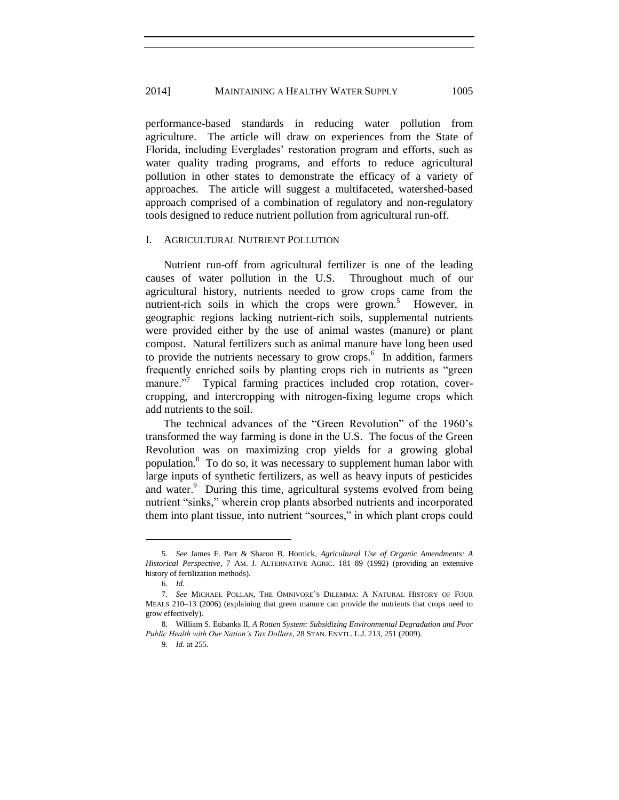# 2014] MAINTAINING A HEALTHY WATER SUPPLY 1005

performance-based standards in reducing water pollution from agriculture. The article will draw on experiences from the State of Florida, including Everglades' restoration program and efforts, such as water quality trading programs, and efforts to reduce agricultural pollution in other states to demonstrate the efficacy of a variety of approaches. The article will suggest a multifaceted, watershed-based approach comprised of a combination of regulatory and non-regulatory tools designed to reduce nutrient pollution from agricultural run-off.

## I. AGRICULTURAL NUTRIENT POLLUTION

Nutrient run-off from agricultural fertilizer is one of the leading causes of water pollution in the U.S. Throughout much of our agricultural history, nutrients needed to grow crops came from the nutrient-rich soils in which the crops were grown.<sup>5</sup> However, in geographic regions lacking nutrient-rich soils, supplemental nutrients were provided either by the use of animal wastes (manure) or plant compost. Natural fertilizers such as animal manure have long been used to provide the nutrients necessary to grow crops.<sup>6</sup> In addition, farmers frequently enriched soils by planting crops rich in nutrients as "green manure."<sup>7</sup> Typical farming practices included crop rotation, covercropping, and intercropping with nitrogen-fixing legume crops which add nutrients to the soil.

The technical advances of the "Green Revolution" of the 1960's transformed the way farming is done in the U.S. The focus of the Green Revolution was on maximizing crop yields for a growing global population.<sup>8</sup> To do so, it was necessary to supplement human labor with large inputs of synthetic fertilizers, as well as heavy inputs of pesticides and water.<sup>9</sup> During this time, agricultural systems evolved from being nutrient "sinks," wherein crop plants absorbed nutrients and incorporated them into plant tissue, into nutrient "sources," in which plant crops could

<sup>5.</sup> *See* James F. Parr & Sharon B. Hornick, *Agricultural Use of Organic Amendments: A Historical Perspective*, 7 AM. J. ALTERNATIVE AGRIC. 181–89 (1992) (providing an extensive history of fertilization methods).

<sup>6.</sup> *Id.*

<sup>7.</sup> *See* MICHAEL POLLAN, THE OMNIVORE'S DILEMMA: A NATURAL HISTORY OF FOUR MEALS 210–13 (2006) (explaining that green manure can provide the nutrients that crops need to grow effectively).

<sup>8.</sup> William S. Eubanks II, *[A Rotten System: Subsidizing Environmental Degradation and Poor](https://web2.westlaw.com/find/default.wl?tf=-1&rs=WLW10.08&referencepositiontype=S&serialnum=0344845248&fn=_top&sv=Split&referenceposition=269&pbc=7252215B&tc=-1&ordoc=0352547717&findtype=Y&db=1610&vr=2.0&rp=%2ffind%2fdefault.wl&mt=208)  [Public Health with Our Nation's Tax Dollars](https://web2.westlaw.com/find/default.wl?tf=-1&rs=WLW10.08&referencepositiontype=S&serialnum=0344845248&fn=_top&sv=Split&referenceposition=269&pbc=7252215B&tc=-1&ordoc=0352547717&findtype=Y&db=1610&vr=2.0&rp=%2ffind%2fdefault.wl&mt=208)*, 28 STAN. ENVTL. L.J. 213, 251 (2009).

<sup>9.</sup> *Id.* at 255.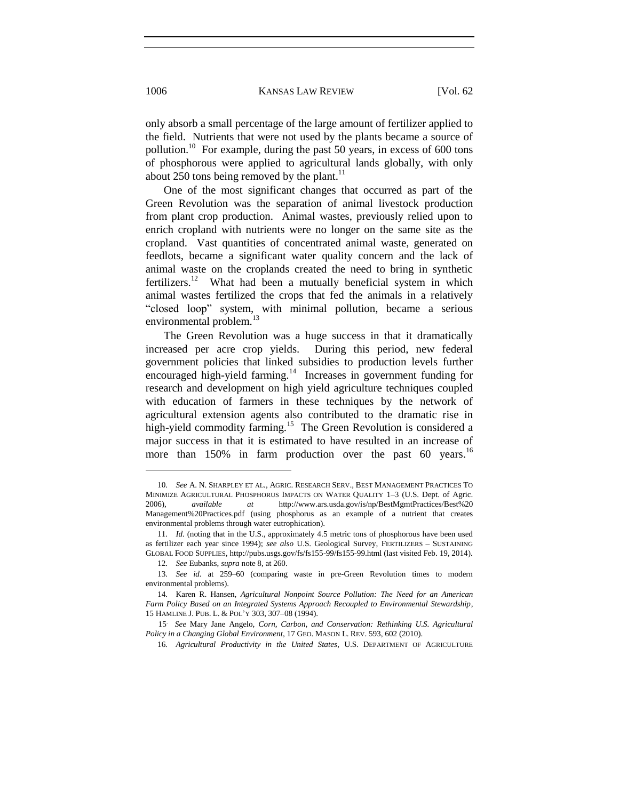only absorb a small percentage of the large amount of fertilizer applied to the field. Nutrients that were not used by the plants became a source of pollution.<sup>10</sup> For example, during the past 50 years, in excess of 600 tons of phosphorous were applied to agricultural lands globally, with only about 250 tons being removed by the plant. $11$ 

One of the most significant changes that occurred as part of the Green Revolution was the separation of animal livestock production from plant crop production. Animal wastes, previously relied upon to enrich cropland with nutrients were no longer on the same site as the cropland. Vast quantities of concentrated animal waste, generated on feedlots, became a significant water quality concern and the lack of animal waste on the croplands created the need to bring in synthetic fertilizers.<sup>12</sup> What had been a mutually beneficial system in which animal wastes fertilized the crops that fed the animals in a relatively "closed loop" system, with minimal pollution, became a serious environmental problem.<sup>13</sup>

The Green Revolution was a huge success in that it dramatically increased per acre crop yields. During this period, new federal government policies that linked subsidies to production levels further encouraged high-yield farming.<sup>14</sup> Increases in government funding for research and development on high yield agriculture techniques coupled with education of farmers in these techniques by the network of agricultural extension agents also contributed to the dramatic rise in high-yield commodity farming.<sup>15</sup> The Green Revolution is considered a major success in that it is estimated to have resulted in an increase of more than  $150\%$  in farm production over the past 60 years.<sup>16</sup>

<sup>10.</sup> *See* A. N. SHARPLEY ET AL., AGRIC. RESEARCH SERV., BEST MANAGEMENT PRACTICES TO MINIMIZE AGRICULTURAL PHOSPHORUS IMPACTS ON WATER QUALITY 1–3 (U.S. Dept. of Agric. 2006), *available at* [http://www.ars.usda.gov/is/np/BestMgmtPractices/Best%20](http://www.ars.usda.gov/is/np/BestMgmtPractices/Best) Management%20Practices.pdf (using phosphorus as an example of a nutrient that creates environmental problems through water eutrophication).

<sup>11.</sup> *Id.* (noting that in the U.S., approximately 4.5 metric tons of phosphorous have been used as fertilizer each year since 1994); *see also* U.S. Geological Survey, FERTILIZERS – SUSTAINING GLOBAL FOOD SUPPLIES, http://pubs.usgs.gov/fs/fs155-99/fs155-99.html (last visited Feb. 19, 2014).

<sup>12.</sup> *See* Eubanks, *supra* [note 8, at 260.](https://web2.westlaw.com/find/default.wl?tf=-1&rs=WLW10.08&referencepositiontype=S&serialnum=0344845248&fn=_top&sv=Split&referenceposition=269&pbc=7252215B&tc=-1&ordoc=0352547717&findtype=Y&db=1610&vr=2.0&rp=%2ffind%2fdefault.wl&mt=208)

<sup>13.</sup> *See id.* at 259–60 (comparing waste in pre-Green Revolution times to modern environmental problems).

<sup>14.</sup> Karen R. Hansen, *Agricultural Nonpoint Source Pollution: The Need for an American Farm Policy Based on an Integrated Systems Approach Recoupled to Environmental Stewardship*, 15 HAMLINE J. PUB. L. & POL'Y 303, 307–08 (1994).

<sup>15</sup>. *See* Mary Jane Angelo, *Corn, Carbon, and Conservation: Rethinking U.S. Agricultural Policy in a Changing Global Environment*, 17 GEO. MASON L. REV. 593, 602 (2010).

<sup>16</sup>*. Agricultural Productivity in the United States*, U.S. DEPARTMENT OF AGRICULTURE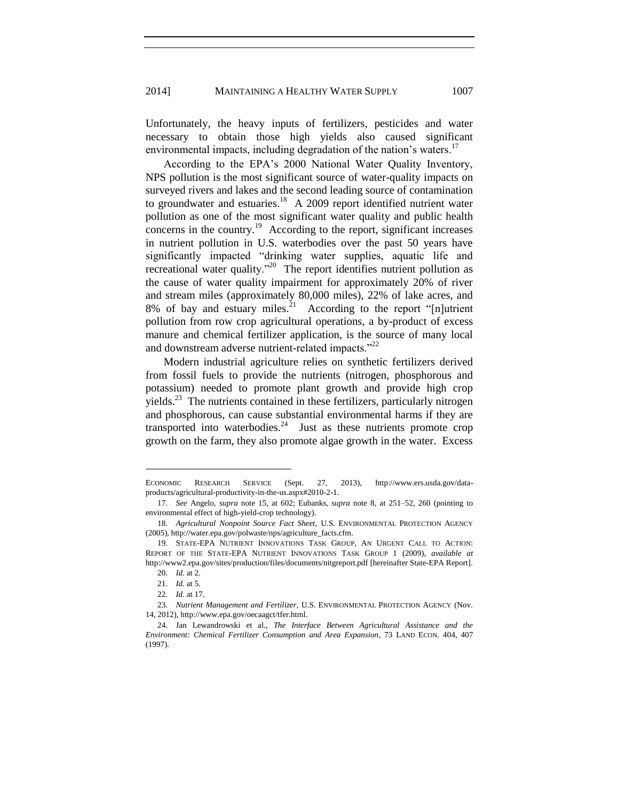Unfortunately, the heavy inputs of fertilizers, pesticides and water necessary to obtain those high yields also caused significant environmental impacts, including degradation of the nation's waters.<sup>17</sup>

According to the EPA's 2000 National Water Quality Inventory, NPS pollution is the most significant source of water-quality impacts on surveyed rivers and lakes and the second leading source of contamination to groundwater and estuaries.<sup>18</sup> A 2009 report identified nutrient water pollution as one of the most significant water quality and public health  $\frac{1}{2}$  concerns in the country.<sup>19</sup> According to the report, significant increases in nutrient pollution in U.S. waterbodies over the past 50 years have significantly impacted "drinking water supplies, aquatic life and recreational water quality."<sup>20</sup> The report identifies nutrient pollution as the cause of water quality impairment for approximately 20% of river and stream miles (approximately 80,000 miles), 22% of lake acres, and 8% of bay and estuary miles. $^{21}$  According to the report "[n]utrient pollution from row crop agricultural operations, a by-product of excess manure and chemical fertilizer application, is the source of many local and downstream adverse nutrient-related impacts."<sup>22</sup>

Modern industrial agriculture relies on synthetic fertilizers derived from fossil fuels to provide the nutrients (nitrogen, phosphorous and potassium) needed to promote plant growth and provide high crop  $yields.<sup>23</sup>$  The nutrients contained in these fertilizers, particularly nitrogen and phosphorous, can cause substantial environmental harms if they are transported into waterbodies. $24$  Just as these nutrients promote crop growth on the farm, they also promote algae growth in the water. Excess

ECONOMIC RESEARCH SERVICE (Sept. 27, 2013), http://www.ers.usda.gov/dataproducts/agricultural-productivity-in-the-us.aspx#2010-2-1.

<sup>17.</sup> *See* Angelo, *supra* note 15, at 602; Eubanks, *supra* note 8, at 251–52, 260 (pointing to environmental effect of high-yield-crop technology).

<sup>18.</sup> *Agricultural Nonpoint Source Fact Sheet*, U.S. ENVIRONMENTAL PROTECTION AGENCY (2005), http://water.epa.gov/polwaste/nps/agriculture\_facts.cfm.

<sup>19.</sup> STATE-EPA NUTRIENT INNOVATIONS TASK GROUP, AN URGENT CALL TO ACTION: REPORT OF THE STATE-EPA NUTRIENT INNOVATIONS TASK GROUP 1 (2009), *available at* http://www2.epa.gov/sites/production/files/documents/nitgreport.pdf [hereinafter State-EPA Report].

<sup>20.</sup> *Id.* at 2.

<sup>21</sup>*. Id.* at 5.

<sup>22.</sup> *Id.* at 17.

<sup>23.</sup> *Nutrient Management and Fertilizer*, U.S. ENVIRONMENTAL PROTECTION AGENCY (Nov. 14, 2012), http://www.epa.gov/oecaagct/tfer.html.

<sup>24.</sup> Jan Lewandrowski et al., *The Interface Between Agricultural Assistance and the Environment: Chemical Fertilizer Consumption and Area Expansion*, 73 LAND ECON. 404, 407 (1997).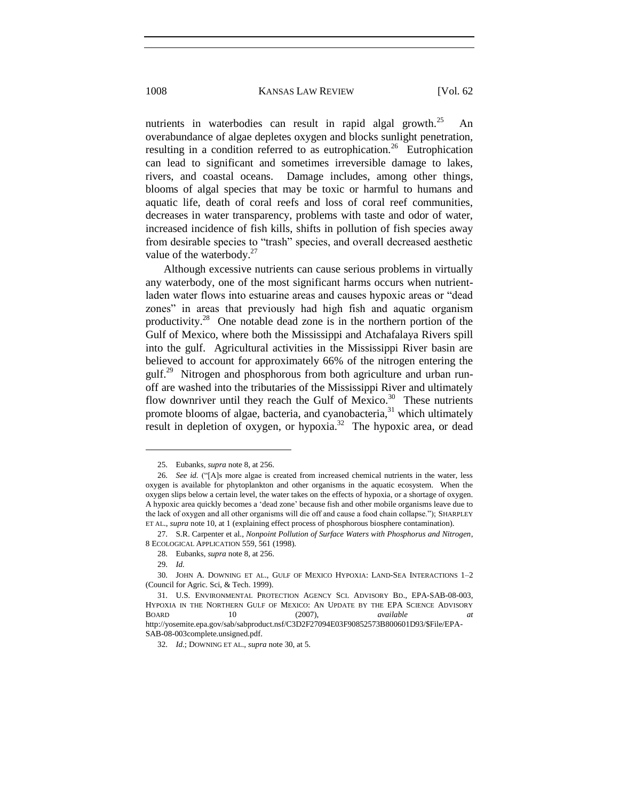nutrients in waterbodies can result in rapid algal growth.<sup>25</sup> An overabundance of algae depletes oxygen and blocks sunlight penetration, resulting in a condition referred to as eutrophication.<sup>26</sup> Eutrophication can lead to significant and sometimes irreversible damage to lakes, rivers, and coastal oceans. Damage includes, among other things, blooms of algal species that may be toxic or harmful to humans and aquatic life, death of coral reefs and loss of coral reef communities, decreases in water transparency, problems with taste and odor of water, increased incidence of fish kills, shifts in pollution of fish species away from desirable species to "trash" species, and overall decreased aesthetic value of the waterbody. $27$ 

Although excessive nutrients can cause serious problems in virtually any waterbody, one of the most significant harms occurs when nutrientladen water flows into estuarine areas and causes hypoxic areas or "dead zones" in areas that previously had high fish and aquatic organism productivity.<sup>28</sup> One notable dead zone is in the northern portion of the Gulf of Mexico, where both the Mississippi and Atchafalaya Rivers spill into the gulf. Agricultural activities in the Mississippi River basin are believed to account for approximately 66% of the nitrogen entering the gulf.<sup>29</sup> Nitrogen and phosphorous from both agriculture and urban runoff are washed into the tributaries of the Mississippi River and ultimately flow downriver until they reach the Gulf of Mexico.<sup>30</sup> These nutrients promote blooms of algae, bacteria, and cyanobacteria,<sup>31</sup> which ultimately result in depletion of oxygen, or hypoxia.<sup>32</sup> The hypoxic area, or dead

l

SAB-08-003complete.unsigned.pdf.

<sup>25.</sup> Eubanks*, supra* note 8, at 256.

<sup>26.</sup> *See id.* ("[A]s more algae is created from increased chemical nutrients in the water, less oxygen is available for phytoplankton and other organisms in the aquatic ecosystem. When the oxygen slips below a certain level, the water takes on the effects of hypoxia, or a shortage of oxygen. A hypoxic area quickly becomes a 'dead zone' because fish and other mobile organisms leave due to the lack of oxygen and all other organisms will die off and cause a food chain collapse."); SHARPLEY ET AL., *supra* note 10, at 1 (explaining effect process of phosphorous biosphere contamination).

<sup>27.</sup> S.R. Carpenter et al., *Nonpoint Pollution of Surface Waters with Phosphorus and Nitrogen*, 8 ECOLOGICAL APPLICATION 559, 561 (1998).

<sup>28.</sup> Eubanks, *supra* note 8, at 256.

<sup>29.</sup> *Id.*

<sup>30.</sup> JOHN A. DOWNING ET AL., GULF OF MEXICO HYPOXIA: LAND-SEA INTERACTIONS 1–2 (Council for Agric. Sci, & Tech. 1999).

<sup>31.</sup> U.S. ENVIRONMENTAL PROTECTION AGENCY SCI. ADVISORY BD., EPA-SAB-08-003, HYPOXIA IN THE NORTHERN GULF OF MEXICO: AN UPDATE BY THE EPA SCIENCE ADVISORY BOARD 10 (2007), *available at* http://yosemite.epa.gov/sab/sabproduct.nsf/C3D2F27094E03F90852573B800601D93/\$File/EPA-

<sup>32.</sup> *Id.*; DOWNING ET AL., *supra* note 30, at 5.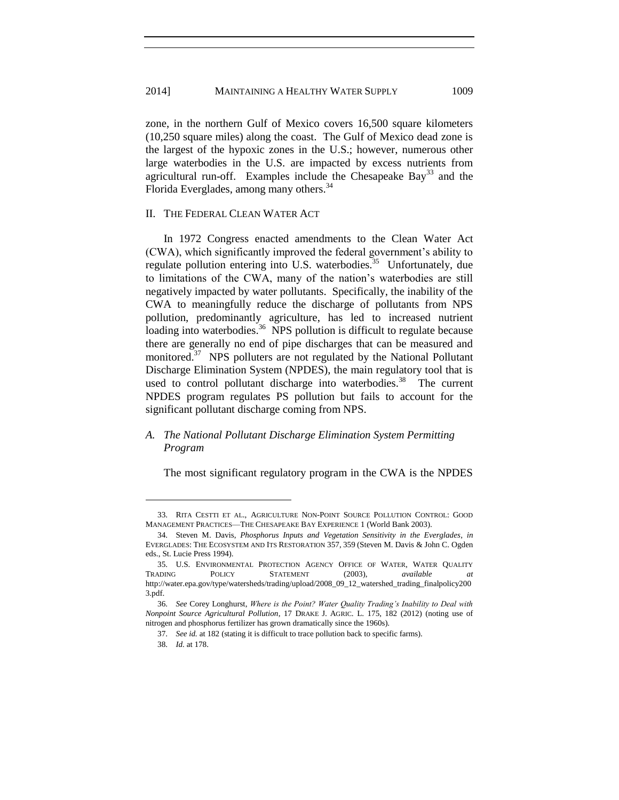zone, in the northern Gulf of Mexico covers 16,500 square kilometers (10,250 square miles) along the coast. The Gulf of Mexico dead zone is the largest of the hypoxic zones in the U.S.; however, numerous other large waterbodies in the U.S. are impacted by excess nutrients from agricultural run-off. Examples include the Chesapeake Bay<sup>33</sup> and the Florida Everglades, among many others.<sup>34</sup>

# II. THE FEDERAL CLEAN WATER ACT

In 1972 Congress enacted amendments to the Clean Water Act (CWA), which significantly improved the federal government's ability to regulate pollution entering into U.S. waterbodies.<sup>35</sup> Unfortunately, due to limitations of the CWA, many of the nation's waterbodies are still negatively impacted by water pollutants. Specifically, the inability of the CWA to meaningfully reduce the discharge of pollutants from NPS pollution, predominantly agriculture, has led to increased nutrient loading into waterbodies.<sup>36</sup> NPS pollution is difficult to regulate because there are generally no end of pipe discharges that can be measured and monitored.<sup>37</sup> NPS polluters are not regulated by the National Pollutant Discharge Elimination System (NPDES), the main regulatory tool that is used to control pollutant discharge into waterbodies.<sup>38</sup> The current NPDES program regulates PS pollution but fails to account for the significant pollutant discharge coming from NPS.

# *A. The National Pollutant Discharge Elimination System Permitting Program*

The most significant regulatory program in the CWA is the NPDES

<sup>33.</sup> RITA CESTTI ET AL., AGRICULTURE NON-POINT SOURCE POLLUTION CONTROL: GOOD MANAGEMENT PRACTICES—THE CHESAPEAKE BAY EXPERIENCE 1 (World Bank 2003).

<sup>34.</sup> Steven M. Davis, *Phosphorus Inputs and Vegetation Sensitivity in the Everglades*, *in* EVERGLADES: THE ECOSYSTEM AND ITS RESTORATION 357, 359 (Steven M. Davis & John C. Ogden eds., St. Lucie Press 1994).

<sup>35.</sup> U.S. ENVIRONMENTAL PROTECTION AGENCY OFFICE OF WATER, WATER QUALITY TRADING POLICY STATEMENT (2003), *available* http://water.epa.gov/type/watersheds/trading/upload/2008\_09\_12\_watershed\_trading\_finalpolicy200 3.pdf.

<sup>36.</sup> *See* Corey Longhurst, *Where is the Point? Water Quality Trading's Inability to Deal with Nonpoint Source Agricultural Pollution*, 17 DRAKE J. AGRIC. L. 175, 182 (2012) (noting use of nitrogen and phosphorus fertilizer has grown dramatically since the 1960s).

<sup>37.</sup> *See id.* at 182 (stating it is difficult to trace pollution back to specific farms).

<sup>38.</sup> *Id.* at 178.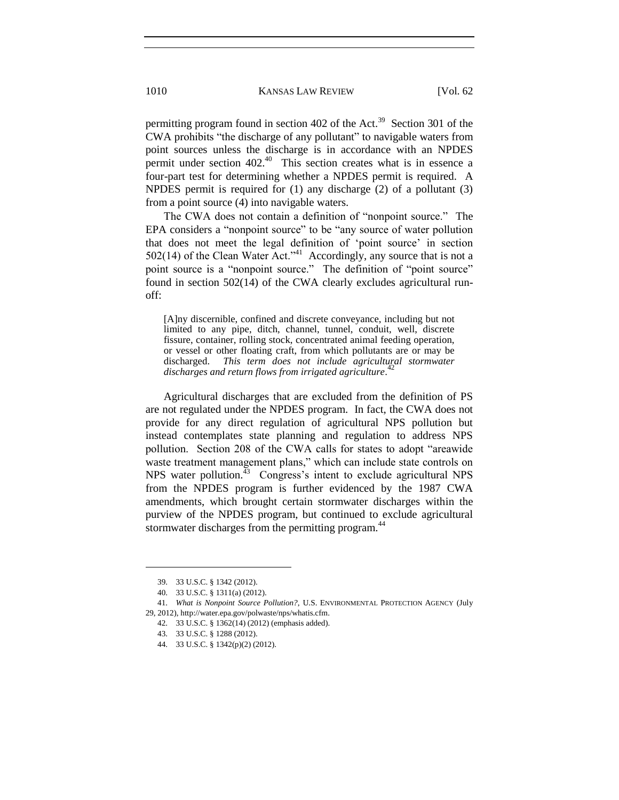permitting program found in section  $402$  of the Act.<sup>39</sup> Section 301 of the CWA prohibits "the discharge of any pollutant" to navigable waters from point sources unless the discharge is in accordance with an NPDES permit under section  $402<sup>40</sup>$  This section creates what is in essence a four-part test for determining whether a NPDES permit is required. A NPDES permit is required for (1) any discharge (2) of a pollutant (3) from a point source (4) into navigable waters.

The CWA does not contain a definition of "nonpoint source." The EPA considers a "nonpoint source" to be "any source of water pollution that does not meet the legal definition of 'point source' in section  $502(14)$  of the Clean Water Act."<sup>41</sup> Accordingly, any source that is not a point source is a "nonpoint source." The definition of "point source" found in section 502(14) of the CWA clearly excludes agricultural runoff:

[A]ny discernible, confined and discrete conveyance, including but not limited to any pipe, ditch, channel, tunnel, conduit, well, discrete fissure, container, rolling stock, concentrated animal feeding operation, or vessel or other floating craft, from which pollutants are or may be discharged. *This term does not include agricultural stormwater discharges and return flows from irrigated agriculture*. 42

Agricultural discharges that are excluded from the definition of PS are not regulated under the NPDES program. In fact, the CWA does not provide for any direct regulation of agricultural NPS pollution but instead contemplates state planning and regulation to address NPS pollution. Section 208 of the CWA calls for states to adopt "areawide waste treatment management plans," which can include state controls on NPS water pollution. $43$  Congress's intent to exclude agricultural NPS from the NPDES program is further evidenced by the 1987 CWA amendments, which brought certain stormwater discharges within the purview of the NPDES program, but continued to exclude agricultural stormwater discharges from the permitting program.<sup>44</sup>

<sup>39.</sup> 33 U.S.C. § 1342 (2012).

<sup>40.</sup> 33 U.S.C. § 1311(a) (2012).

<sup>41.</sup> *What is Nonpoint Source Pollution?*, U.S. ENVIRONMENTAL PROTECTION AGENCY (July 29, 2012), http://water.epa.gov/polwaste/nps/whatis.cfm.

<sup>42.</sup> 33 U.S.C. § 1362(14) (2012) (emphasis added).

<sup>43.</sup> 33 U.S.C. § 1288 (2012).

<sup>44.</sup> 33 U.S.C. § 1342(p)(2) (2012).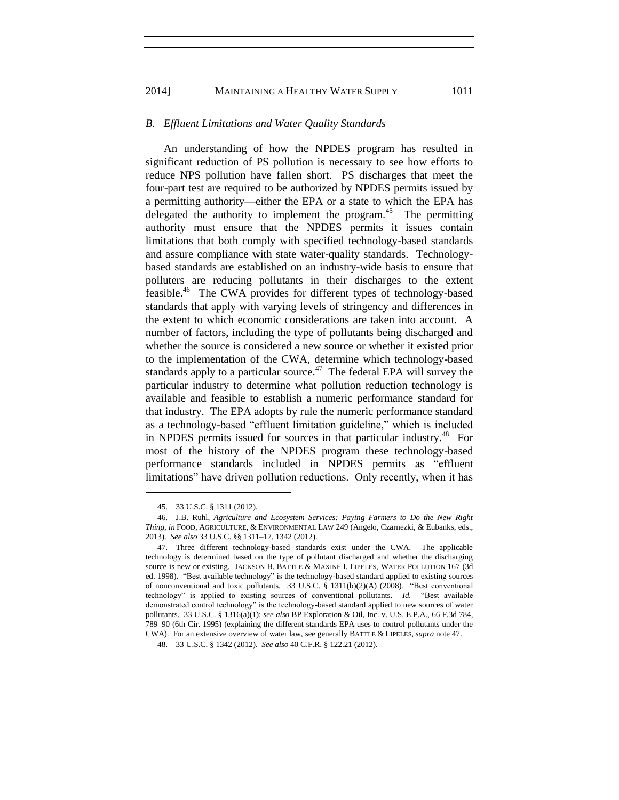### *B. Effluent Limitations and Water Quality Standards*

An understanding of how the NPDES program has resulted in significant reduction of PS pollution is necessary to see how efforts to reduce NPS pollution have fallen short. PS discharges that meet the four-part test are required to be authorized by NPDES permits issued by a permitting authority—either the EPA or a state to which the EPA has delegated the authority to implement the program. $45$  The permitting authority must ensure that the NPDES permits it issues contain limitations that both comply with specified technology-based standards and assure compliance with state water-quality standards. Technologybased standards are established on an industry-wide basis to ensure that polluters are reducing pollutants in their discharges to the extent feasible.<sup>46</sup> The CWA provides for different types of technology-based standards that apply with varying levels of stringency and differences in the extent to which economic considerations are taken into account. A number of factors, including the type of pollutants being discharged and whether the source is considered a new source or whether it existed prior to the implementation of the CWA, determine which technology-based standards apply to a particular source.<sup>47</sup> The federal EPA will survey the particular industry to determine what pollution reduction technology is available and feasible to establish a numeric performance standard for that industry. The EPA adopts by rule the numeric performance standard as a technology-based "effluent limitation guideline," which is included in NPDES permits issued for sources in that particular industry.<sup>48</sup> For most of the history of the NPDES program these technology-based performance standards included in NPDES permits as "effluent limitations" have driven pollution reductions. Only recently, when it has

<sup>45.</sup> 33 U.S.C. § 1311 (2012).

<sup>46.</sup> J.B. Ruhl, *Agriculture and Ecosystem Services: Paying Farmers to Do the New Right Thing*, *in* FOOD, AGRICULTURE, & ENVIRONMENTAL LAW 249 (Angelo, Czarnezki, & Eubanks, eds., 2013). *See also* 33 U.S.C. §§ 1311–17, 1342 (2012).

<sup>47.</sup> Three different technology-based standards exist under the CWA. The applicable technology is determined based on the type of pollutant discharged and whether the discharging source is new or existing. JACKSON B. BATTLE & MAXINE I. LIPELES, WATER POLLUTION 167 (3d ed. 1998). "Best available technology" is the technology-based standard applied to existing sources of nonconventional and toxic pollutants. 33 U.S.C. § 1311(b)(2)(A) (2008). "Best conventional technology" is applied to existing sources of conventional pollutants. *Id.* "Best available demonstrated control technology" is the technology-based standard applied to new sources of water pollutants. 33 U.S.C. § 1316(a)(1); *see also* BP Exploration & Oil, Inc. v. U.S. E.P.A., 66 F.3d 784, 789–90 (6th Cir. 1995) (explaining the different standards EPA uses to control pollutants under the CWA). For an extensive overview of water law, see generally BATTLE & LIPELES, *supra* note 47.

<sup>48.</sup> 33 U.S.C. § 1342 (2012). *See also* 40 C.F.R. § 122.21 (2012).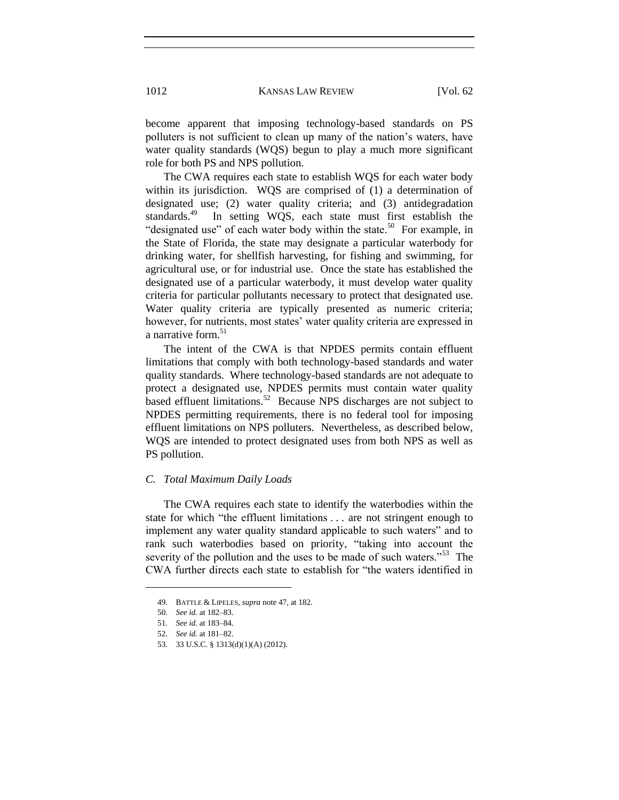become apparent that imposing technology-based standards on PS polluters is not sufficient to clean up many of the nation's waters, have water quality standards (WQS) begun to play a much more significant role for both PS and NPS pollution.

The CWA requires each state to establish WQS for each water body within its jurisdiction. WQS are comprised of (1) a determination of designated use; (2) water quality criteria; and (3) antidegradation standards.<sup>49</sup> In setting WQS, each state must first establish the "designated use" of each water body within the state.<sup>50</sup> For example, in the State of Florida, the state may designate a particular waterbody for drinking water, for shellfish harvesting, for fishing and swimming, for agricultural use, or for industrial use. Once the state has established the designated use of a particular waterbody, it must develop water quality criteria for particular pollutants necessary to protect that designated use. Water quality criteria are typically presented as numeric criteria; however, for nutrients, most states' water quality criteria are expressed in a narrative form.<sup>51</sup>

The intent of the CWA is that NPDES permits contain effluent limitations that comply with both technology-based standards and water quality standards. Where technology-based standards are not adequate to protect a designated use, NPDES permits must contain water quality based effluent limitations.<sup>52</sup> Because NPS discharges are not subject to NPDES permitting requirements, there is no federal tool for imposing effluent limitations on NPS polluters. Nevertheless, as described below, WQS are intended to protect designated uses from both NPS as well as PS pollution.

#### *C. Total Maximum Daily Loads*

The CWA requires each state to identify the waterbodies within the state for which "the effluent limitations . . . are not stringent enough to implement any water quality standard applicable to such waters" and to rank such waterbodies based on priority, "taking into account the severity of the pollution and the uses to be made of such waters."<sup>53</sup> The CWA further directs each state to establish for "the waters identified in

<sup>49.</sup> BATTLE & LIPELES, *supra* note 47, at 182.

<sup>50.</sup> *See id.* at 182–83.

<sup>51.</sup> *See id.* at 183–84.

<sup>52.</sup> *See id.* at 181–82.

<sup>53.</sup> 33 U.S.C. § 1313(d)(1)(A) (2012).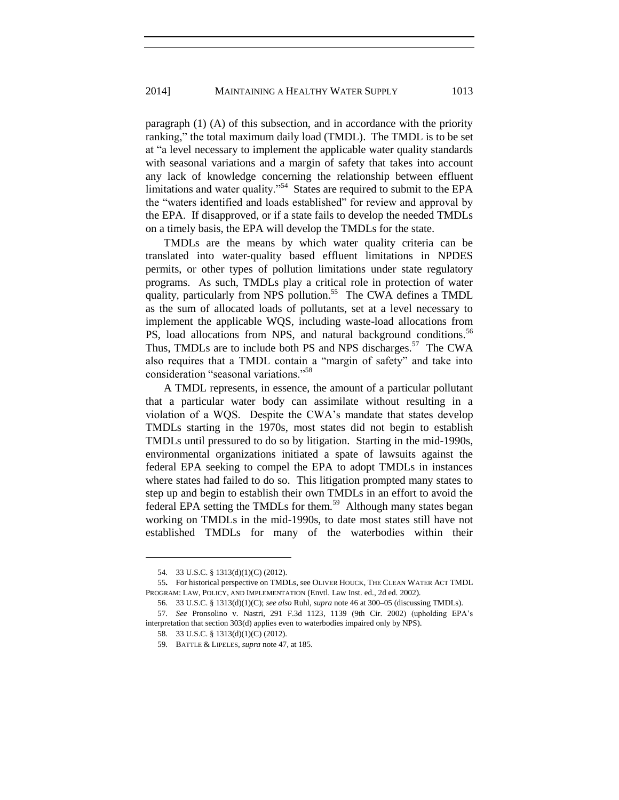paragraph (1) (A) of this subsection, and in accordance with the priority ranking," the total maximum daily load (TMDL). The TMDL is to be set at "a level necessary to implement the applicable water quality standards with seasonal variations and a margin of safety that takes into account any lack of knowledge concerning the relationship between effluent limitations and water quality."<sup>54</sup> States are required to submit to the EPA the "waters identified and loads established" for review and approval by the EPA. If disapproved, or if a state fails to develop the needed TMDLs on a timely basis, the EPA will develop the TMDLs for the state.

TMDLs are the means by which water quality criteria can be translated into water-quality based effluent limitations in NPDES permits, or other types of pollution limitations under state regulatory programs. As such, TMDLs play a critical role in protection of water quality, particularly from NPS pollution.<sup>55</sup> The CWA defines a TMDL as the sum of allocated loads of pollutants, set at a level necessary to implement the applicable WQS, including waste-load allocations from PS, load allocations from NPS, and natural background conditions.<sup>56</sup> Thus, TMDLs are to include both PS and NPS discharges.<sup>57</sup> The CWA also requires that a TMDL contain a "margin of safety" and take into consideration "seasonal variations."<sup>58</sup>

A TMDL represents, in essence, the amount of a particular pollutant that a particular water body can assimilate without resulting in a violation of a WQS. Despite the CWA's mandate that states develop TMDLs starting in the 1970s, most states did not begin to establish TMDLs until pressured to do so by litigation. Starting in the mid-1990s, environmental organizations initiated a spate of lawsuits against the federal EPA seeking to compel the EPA to adopt TMDLs in instances where states had failed to do so. This litigation prompted many states to step up and begin to establish their own TMDLs in an effort to avoid the federal EPA setting the TMDLs for them.<sup>59</sup> Although many states began working on TMDLs in the mid-1990s, to date most states still have not established TMDLs for many of the waterbodies within their

<sup>54.</sup> 33 U.S.C. § 1313(d)(1)(C) (2012).

<sup>55</sup>**.** For historical perspective on TMDLs, see OLIVER HOUCK, THE CLEAN WATER ACT TMDL PROGRAM: LAW, POLICY, AND IMPLEMENTATION (Envtl. Law Inst. ed., 2d ed. 2002).

<sup>56.</sup> 33 U.S.C. § 1313(d)(1)(C); *see also* Ruhl, *supra* note 46 at 300–05 (discussing TMDLs).

<sup>57.</sup> *See* Pronsolino v. Nastri, 291 F.3d 1123, 1139 (9th Cir. 2002) (upholding EPA's interpretation that section 303(d) applies even to waterbodies impaired only by NPS).

<sup>58.</sup> 33 U.S.C. § 1313(d)(1)(C) (2012).

<sup>59.</sup> BATTLE & LIPELES, *supra* note 47, at 185.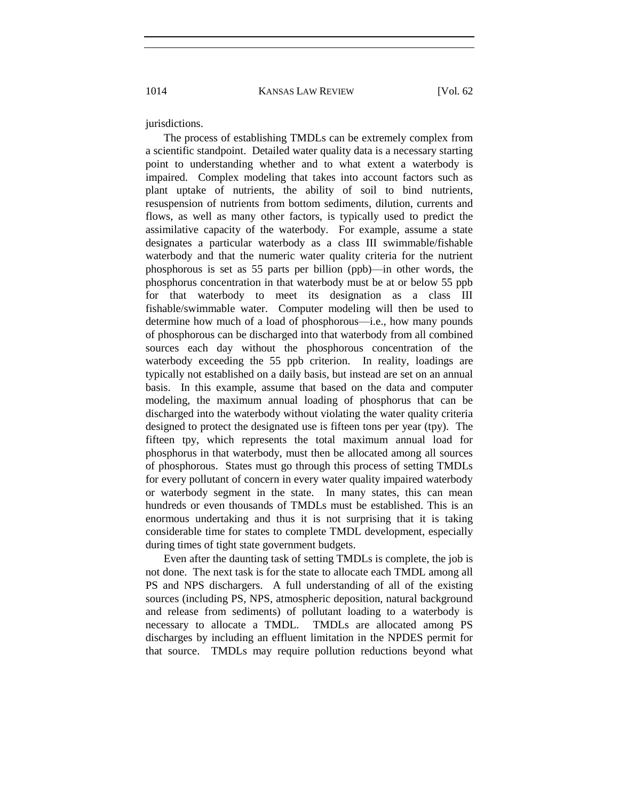jurisdictions.

The process of establishing TMDLs can be extremely complex from a scientific standpoint. Detailed water quality data is a necessary starting point to understanding whether and to what extent a waterbody is impaired. Complex modeling that takes into account factors such as plant uptake of nutrients, the ability of soil to bind nutrients, resuspension of nutrients from bottom sediments, dilution, currents and flows, as well as many other factors, is typically used to predict the assimilative capacity of the waterbody. For example, assume a state designates a particular waterbody as a class III swimmable/fishable waterbody and that the numeric water quality criteria for the nutrient phosphorous is set as 55 parts per billion (ppb)—in other words, the phosphorus concentration in that waterbody must be at or below 55 ppb for that waterbody to meet its designation as a class III fishable/swimmable water. Computer modeling will then be used to determine how much of a load of phosphorous—i.e., how many pounds of phosphorous can be discharged into that waterbody from all combined sources each day without the phosphorous concentration of the waterbody exceeding the 55 ppb criterion. In reality, loadings are typically not established on a daily basis, but instead are set on an annual basis. In this example, assume that based on the data and computer modeling, the maximum annual loading of phosphorus that can be discharged into the waterbody without violating the water quality criteria designed to protect the designated use is fifteen tons per year (tpy). The fifteen tpy, which represents the total maximum annual load for phosphorus in that waterbody, must then be allocated among all sources of phosphorous. States must go through this process of setting TMDLs for every pollutant of concern in every water quality impaired waterbody or waterbody segment in the state. In many states, this can mean hundreds or even thousands of TMDLs must be established. This is an enormous undertaking and thus it is not surprising that it is taking considerable time for states to complete TMDL development, especially during times of tight state government budgets.

Even after the daunting task of setting TMDLs is complete, the job is not done. The next task is for the state to allocate each TMDL among all PS and NPS dischargers. A full understanding of all of the existing sources (including PS, NPS, atmospheric deposition, natural background and release from sediments) of pollutant loading to a waterbody is necessary to allocate a TMDL. TMDLs are allocated among PS discharges by including an effluent limitation in the NPDES permit for that source. TMDLs may require pollution reductions beyond what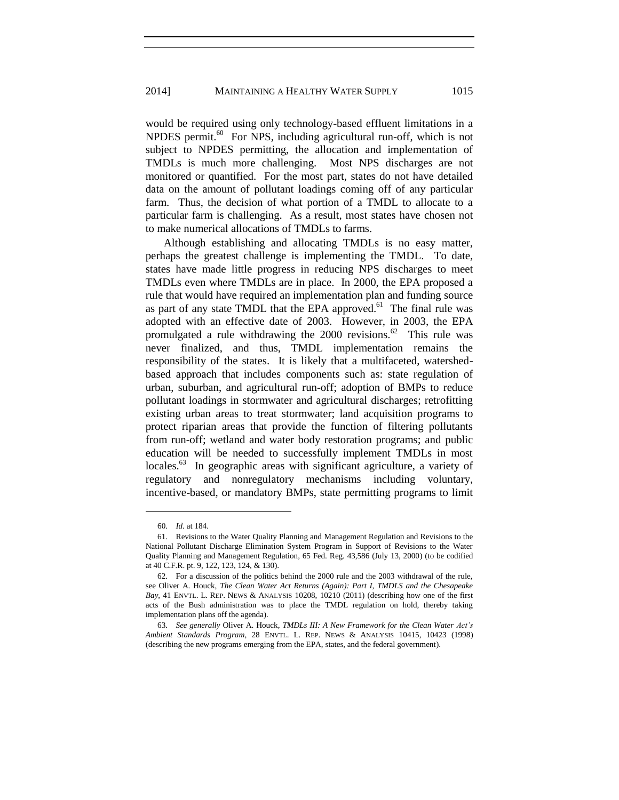would be required using only technology-based effluent limitations in a NPDES permit. $60$  For NPS, including agricultural run-off, which is not subject to NPDES permitting, the allocation and implementation of TMDLs is much more challenging. Most NPS discharges are not monitored or quantified. For the most part, states do not have detailed data on the amount of pollutant loadings coming off of any particular farm. Thus, the decision of what portion of a TMDL to allocate to a particular farm is challenging. As a result, most states have chosen not to make numerical allocations of TMDLs to farms.

Although establishing and allocating TMDLs is no easy matter, perhaps the greatest challenge is implementing the TMDL. To date, states have made little progress in reducing NPS discharges to meet TMDLs even where TMDLs are in place. In 2000, the EPA proposed a rule that would have required an implementation plan and funding source as part of any state TMDL that the EPA approved.<sup>61</sup> The final rule was adopted with an effective date of 2003. However, in 2003, the EPA promulgated a rule withdrawing the  $2000$  revisions.<sup>62</sup> This rule was never finalized, and thus, TMDL implementation remains the responsibility of the states. It is likely that a multifaceted, watershedbased approach that includes components such as: state regulation of urban, suburban, and agricultural run-off; adoption of BMPs to reduce pollutant loadings in stormwater and agricultural discharges; retrofitting existing urban areas to treat stormwater; land acquisition programs to protect riparian areas that provide the function of filtering pollutants from run-off; wetland and water body restoration programs; and public education will be needed to successfully implement TMDLs in most locales.<sup>63</sup> In geographic areas with significant agriculture, a variety of regulatory and nonregulatory mechanisms including voluntary, incentive-based, or mandatory BMPs, state permitting programs to limit

<sup>60.</sup> *Id.* at 184.

<sup>61.</sup> Revisions to the Water Quality Planning and Management Regulation and Revisions to the National Pollutant Discharge Elimination System Program in Support of Revisions to the Water Quality Planning and Management Regulation, 65 Fed. Reg. 43,586 (July 13, 2000) (to be codified at 40 C.F.R. pt. 9, 122, 123, 124, & 130).

<sup>62.</sup> For a discussion of the politics behind the 2000 rule and the 2003 withdrawal of the rule, see Oliver A. Houck, *The Clean Water Act Returns (Again): Part I, TMDLS and the Chesapeake Bay*, 41 ENVTL. L. REP. NEWS & ANALYSIS 10208, 10210 (2011) (describing how one of the first acts of the Bush administration was to place the TMDL regulation on hold, thereby taking implementation plans off the agenda).

<sup>63.</sup> *See generally* Oliver A. Houck, *TMDLs III: A New Framework for the Clean Water Act's Ambient Standards Program*, 28 ENVTL. L. REP. NEWS & ANALYSIS 10415, 10423 (1998) (describing the new programs emerging from the EPA, states, and the federal government).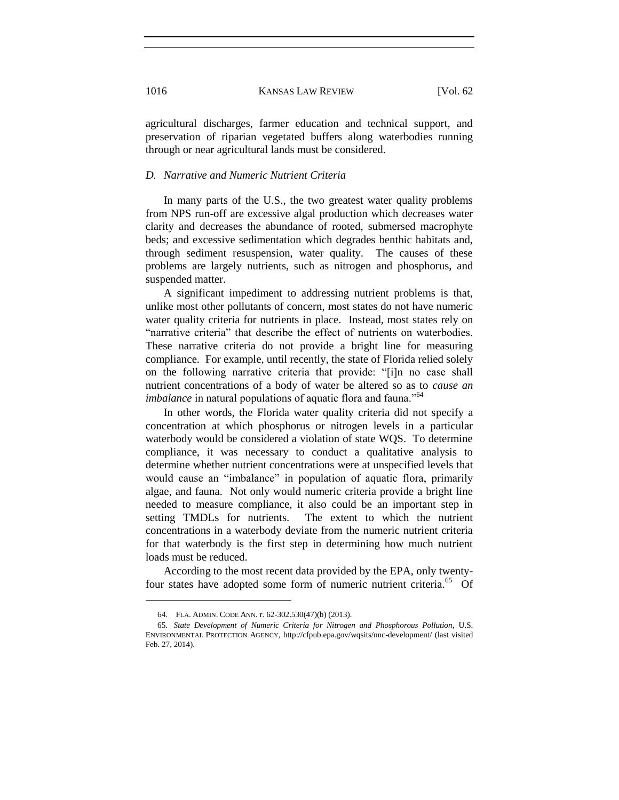agricultural discharges, farmer education and technical support, and preservation of riparian vegetated buffers along waterbodies running through or near agricultural lands must be considered.

#### *D. Narrative and Numeric Nutrient Criteria*

In many parts of the U.S., the two greatest water quality problems from NPS run-off are excessive algal production which decreases water clarity and decreases the abundance of rooted, submersed macrophyte beds; and excessive sedimentation which degrades benthic habitats and, through sediment resuspension, water quality. The causes of these problems are largely nutrients, such as nitrogen and phosphorus, and suspended matter.

A significant impediment to addressing nutrient problems is that, unlike most other pollutants of concern, most states do not have numeric water quality criteria for nutrients in place. Instead, most states rely on "narrative criteria" that describe the effect of nutrients on waterbodies. These narrative criteria do not provide a bright line for measuring compliance. For example, until recently, the state of Florida relied solely on the following narrative criteria that provide: "[i]n no case shall nutrient concentrations of a body of water be altered so as to *cause an imbalance* in natural populations of aquatic flora and fauna."<sup>64</sup>

In other words, the Florida water quality criteria did not specify a concentration at which phosphorus or nitrogen levels in a particular waterbody would be considered a violation of state WQS. To determine compliance, it was necessary to conduct a qualitative analysis to determine whether nutrient concentrations were at unspecified levels that would cause an "imbalance" in population of aquatic flora, primarily algae, and fauna. Not only would numeric criteria provide a bright line needed to measure compliance, it also could be an important step in setting TMDLs for nutrients. The extent to which the nutrient concentrations in a waterbody deviate from the numeric nutrient criteria for that waterbody is the first step in determining how much nutrient loads must be reduced.

According to the most recent data provided by the EPA, only twentyfour states have adopted some form of numeric nutrient criteria.<sup>65</sup> Of

<sup>64.</sup> FLA. ADMIN. CODE ANN. r. 62-302.530(47)(b) (2013).

<sup>65</sup>*. State Development of Numeric Criteria for Nitrogen and Phosphorous Pollution*, U.S. ENVIRONMENTAL PROTECTION AGENCY, http://cfpub.epa.gov/wqsits/nnc-development/ (last visited Feb. 27, 2014).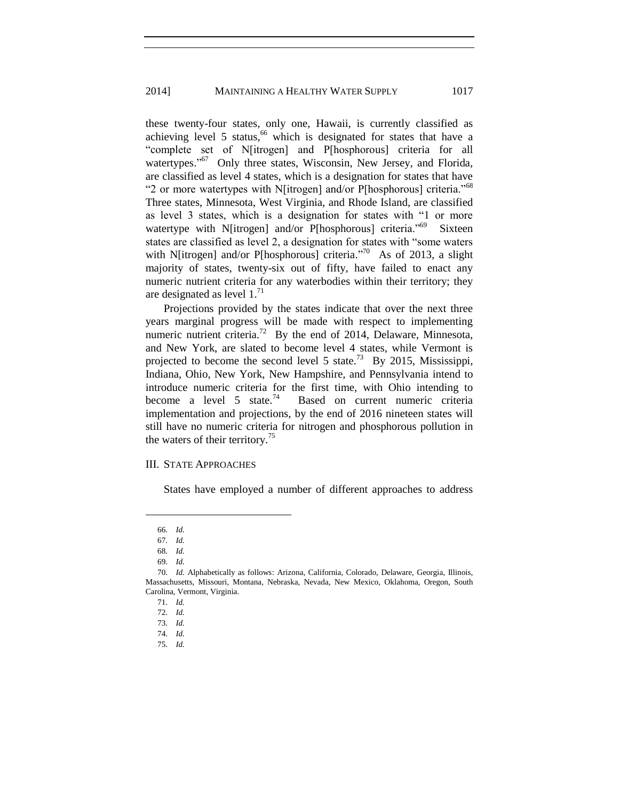these twenty-four states, only one, Hawaii, is currently classified as achieving level 5 status,<sup>66</sup> which is designated for states that have a "complete set of N[itrogen] and P[hosphorous] criteria for all watertypes."<sup>67</sup> Only three states, Wisconsin, New Jersey, and Florida, are classified as level 4 states, which is a designation for states that have "2 or more watertypes with N[itrogen] and/or P[hosphorous] criteria."<sup>68</sup> Three states, Minnesota, West Virginia, and Rhode Island, are classified as level 3 states, which is a designation for states with "1 or more watertype with N[itrogen] and/or P[hosphorous] criteria."<sup>69</sup> Sixteen states are classified as level 2, a designation for states with "some waters with N[itrogen] and/or P[hosphorous] criteria.<sup>70</sup> As of 2013, a slight majority of states, twenty-six out of fifty, have failed to enact any numeric nutrient criteria for any waterbodies within their territory; they are designated as level  $1.^{71}$ 

Projections provided by the states indicate that over the next three years marginal progress will be made with respect to implementing numeric nutrient criteria.<sup>72</sup> By the end of 2014, Delaware, Minnesota, and New York, are slated to become level 4 states, while Vermont is projected to become the second level 5 state.<sup>73</sup> By 2015, Mississippi, Indiana, Ohio, New York, New Hampshire, and Pennsylvania intend to introduce numeric criteria for the first time, with Ohio intending to become a level 5 state.<sup>74</sup> Based on current numeric criteria implementation and projections, by the end of 2016 nineteen states will still have no numeric criteria for nitrogen and phosphorous pollution in the waters of their territory.<sup>75</sup>

### III. STATE APPROACHES

States have employed a number of different approaches to address

 $\overline{a}$ 

69. *Id.*

<sup>66.</sup> *Id.*

<sup>67.</sup> *Id.*

<sup>68.</sup> *Id.*

<sup>70.</sup> *Id.* Alphabetically as follows: Arizona, California, Colorado, Delaware, Georgia, Illinois, Massachusetts, Missouri, Montana, Nebraska, Nevada, New Mexico, Oklahoma, Oregon, South Carolina, Vermont, Virginia.

<sup>71.</sup> *Id.*

<sup>72.</sup> *Id.*

<sup>73.</sup> *Id.*

<sup>74.</sup> *Id.*

<sup>75.</sup> *Id.*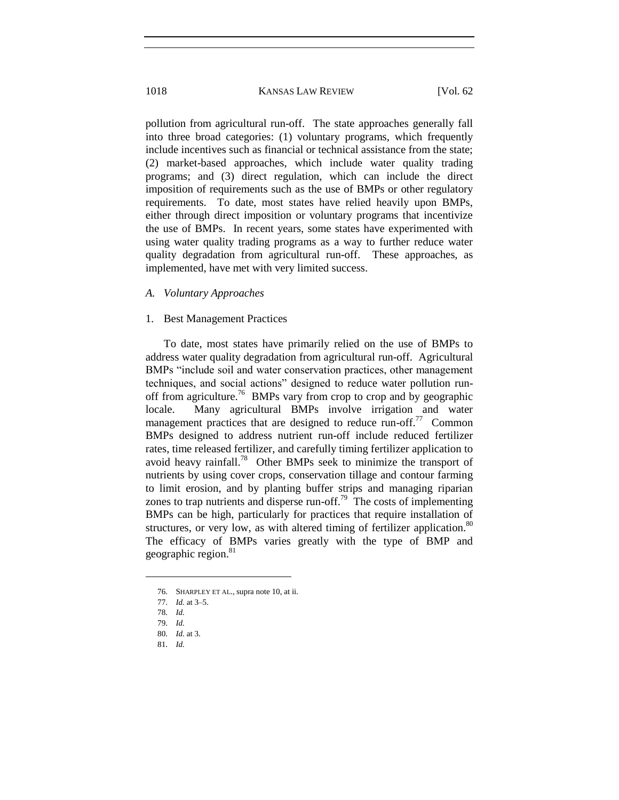pollution from agricultural run-off. The state approaches generally fall into three broad categories: (1) voluntary programs, which frequently include incentives such as financial or technical assistance from the state; (2) market-based approaches, which include water quality trading programs; and (3) direct regulation, which can include the direct imposition of requirements such as the use of BMPs or other regulatory requirements. To date, most states have relied heavily upon BMPs, either through direct imposition or voluntary programs that incentivize the use of BMPs. In recent years, some states have experimented with using water quality trading programs as a way to further reduce water quality degradation from agricultural run-off. These approaches, as implemented, have met with very limited success.

# *A. Voluntary Approaches*

#### 1. Best Management Practices

To date, most states have primarily relied on the use of BMPs to address water quality degradation from agricultural run-off. Agricultural BMPs "include soil and water conservation practices, other management techniques, and social actions" designed to reduce water pollution runoff from agriculture.<sup>76</sup> BMPs vary from crop to crop and by geographic locale. Many agricultural BMPs involve irrigation and water management practices that are designed to reduce run-off.<sup>77</sup> Common BMPs designed to address nutrient run-off include reduced fertilizer rates, time released fertilizer, and carefully timing fertilizer application to avoid heavy rainfall.<sup>78</sup> Other BMPs seek to minimize the transport of nutrients by using cover crops, conservation tillage and contour farming to limit erosion, and by planting buffer strips and managing riparian zones to trap nutrients and disperse run-off.<sup>79</sup> The costs of implementing BMPs can be high, particularly for practices that require installation of structures, or very low, as with altered timing of fertilizer application. $80$ The efficacy of BMPs varies greatly with the type of BMP and geographic region.<sup>81</sup>

<sup>76.</sup> SHARPLEY ET AL., supra note 10, at ii.

<sup>77.</sup> *Id.* at 3–5.

<sup>78.</sup> *Id.*

<sup>79.</sup> *Id.*

<sup>80.</sup> *Id.* at 3.

<sup>81.</sup> *Id.*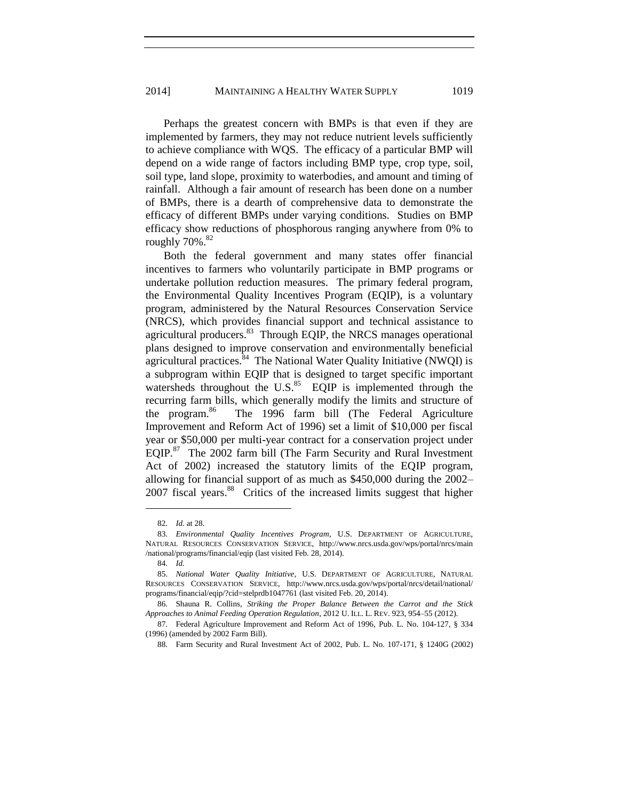Perhaps the greatest concern with BMPs is that even if they are implemented by farmers, they may not reduce nutrient levels sufficiently to achieve compliance with WQS. The efficacy of a particular BMP will depend on a wide range of factors including BMP type, crop type, soil, soil type, land slope, proximity to waterbodies, and amount and timing of rainfall. Although a fair amount of research has been done on a number of BMPs, there is a dearth of comprehensive data to demonstrate the efficacy of different BMPs under varying conditions. Studies on BMP efficacy show reductions of phosphorous ranging anywhere from 0% to roughly  $70\%$ .  $82$ 

Both the federal government and many states offer financial incentives to farmers who voluntarily participate in BMP programs or undertake pollution reduction measures. The primary federal program, the Environmental Quality Incentives Program (EQIP), is a voluntary program, administered by the Natural Resources Conservation Service (NRCS), which provides financial support and technical assistance to agricultural producers. $83$  Through EQIP, the NRCS manages operational plans designed to improve conservation and environmentally beneficial agricultural practices.  $84$  The National Water Quality Initiative (NWQI) is a subprogram within EQIP that is designed to target specific important watersheds throughout the U.S. $^{85}$  EQIP is implemented through the recurring farm bills, which generally modify the limits and structure of the program. $86$  The 1996 farm bill (The Federal Agriculture Improvement and Reform Act of 1996) set a limit of \$10,000 per fiscal year or \$50,000 per multi-year contract for a conservation project under  $EQIP<sup>87</sup>$  The 2002 farm bill (The Farm Security and Rural Investment Act of 2002) increased the statutory limits of the EQIP program, allowing for financial support of as much as \$450,000 during the 2002– 2007 fiscal years.<sup>88</sup> Critics of the increased limits suggest that higher

<sup>82.</sup> *Id.* at 28.

<sup>83.</sup> *Environmental Quality Incentives Program*, U.S. DEPARTMENT OF AGRICULTURE, NATURAL RESOURCES CONSERVATION SERVICE, <http://www.nrcs.usda.gov/wps/portal/nrcs/main> /national/programs/financial/eqip (last visited Feb. 28, 2014).

<sup>84.</sup> *Id.*

<sup>85.</sup> *National Water Quality Initiative*, U.S. DEPARTMENT OF AGRICULTURE, NATURAL RESOURCES CONSERVATION SERVICE, <http://www.nrcs.usda.gov/wps/portal/nrcs/detail/national/> programs/financial/eqip/?cid=stelprdb1047761 (last visited Feb. 20, 2014).

<sup>86.</sup> Shauna R. Collins, *Striking the Proper Balance Between the Carrot and the Stick Approaches to Animal Feeding Operation Regulation*, 2012 U. ILL. L. REV. 923, 954–55 (2012).

<sup>87.</sup> Federal Agriculture Improvement and Reform Act of 1996, Pub. L. No. 104-127, § 334 (1996) (amended by 2002 Farm Bill).

<sup>88.</sup> Farm Security and Rural Investment Act of 2002, Pub. L. No. 107-171, § 1240G (2002)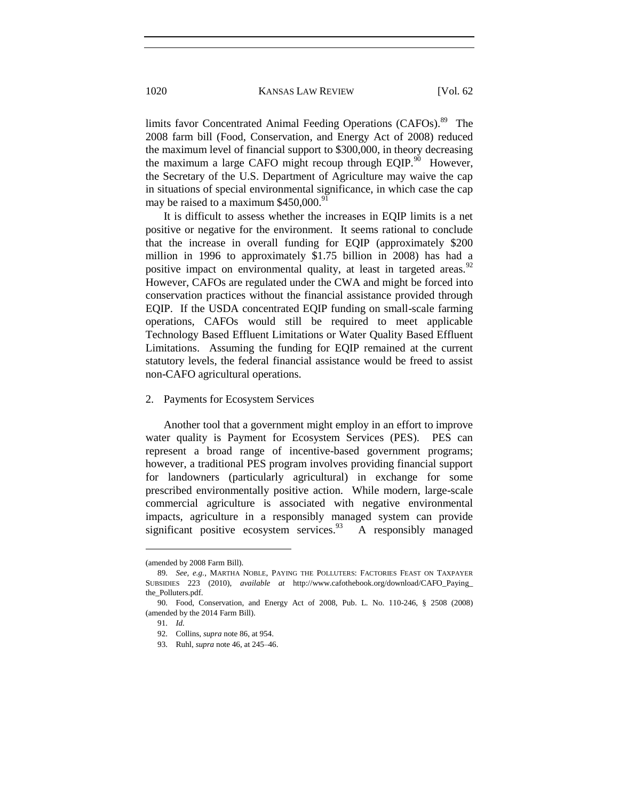limits favor Concentrated Animal Feeding Operations (CAFOs).<sup>89</sup> The 2008 farm bill (Food, Conservation, and Energy Act of 2008) reduced the maximum level of financial support to \$300,000, in theory decreasing the maximum a large CAFO might recoup through EQIP. $90$  However, the Secretary of the U.S. Department of Agriculture may waive the cap in situations of special environmental significance, in which case the cap may be raised to a maximum  $$450,000$ .

It is difficult to assess whether the increases in EQIP limits is a net positive or negative for the environment. It seems rational to conclude that the increase in overall funding for EQIP (approximately \$200 million in 1996 to approximately \$1.75 billion in 2008) has had a positive impact on environmental quality, at least in targeted areas.<sup>92</sup> However, CAFOs are regulated under the CWA and might be forced into conservation practices without the financial assistance provided through EQIP. If the USDA concentrated EQIP funding on small-scale farming operations, CAFOs would still be required to meet applicable Technology Based Effluent Limitations or Water Quality Based Effluent Limitations. Assuming the funding for EQIP remained at the current statutory levels, the federal financial assistance would be freed to assist non-CAFO agricultural operations.

#### 2. Payments for Ecosystem Services

Another tool that a government might employ in an effort to improve water quality is Payment for Ecosystem Services (PES). PES can represent a broad range of incentive-based government programs; however, a traditional PES program involves providing financial support for landowners (particularly agricultural) in exchange for some prescribed environmentally positive action. While modern, large-scale commercial agriculture is associated with negative environmental impacts, agriculture in a responsibly managed system can provide significant positive ecosystem services. $^{93}$ A responsibly managed

<sup>(</sup>amended by 2008 Farm Bill).

<sup>89.</sup> *See, e.g.*, MARTHA NOBLE, PAYING THE POLLUTERS: FACTORIES FEAST ON TAXPAYER SUBSIDIES 223 (2010), *available at* [http://www.cafothebook.org/download/CAFO\\_Paying\\_](http://www.cafothebook.org/download/CAFO_Paying_) the\_Polluters.pdf.

<sup>90.</sup> Food, Conservation, and Energy Act of 2008, Pub. L. No. 110-246, § 2508 (2008) (amended by the 2014 Farm Bill).

<sup>91.</sup> *Id.*

<sup>92.</sup> Collins, *supra* note 86, at 954.

<sup>93.</sup> Ruhl, *supra* note 46, at 245–46.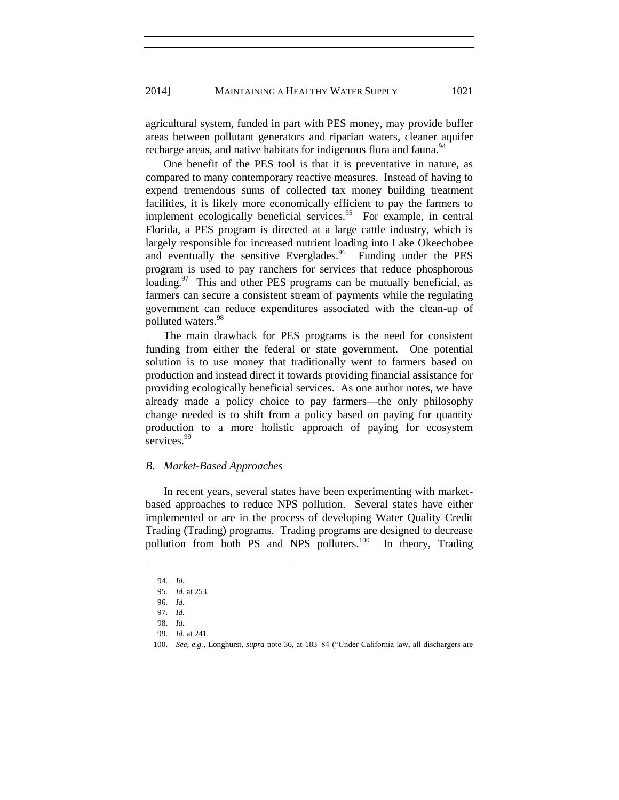agricultural system, funded in part with PES money, may provide buffer areas between pollutant generators and riparian waters, cleaner aquifer recharge areas, and native habitats for indigenous flora and fauna.<sup>94</sup>

One benefit of the PES tool is that it is preventative in nature, as compared to many contemporary reactive measures. Instead of having to expend tremendous sums of collected tax money building treatment facilities, it is likely more economically efficient to pay the farmers to implement ecologically beneficial services.<sup>95</sup> For example, in central Florida, a PES program is directed at a large cattle industry, which is largely responsible for increased nutrient loading into Lake Okeechobee and eventually the sensitive Everglades.<sup>96</sup> Funding under the PES program is used to pay ranchers for services that reduce phosphorous loading.<sup>97</sup> This and other PES programs can be mutually beneficial, as farmers can secure a consistent stream of payments while the regulating government can reduce expenditures associated with the clean-up of polluted waters.<sup>98</sup>

The main drawback for PES programs is the need for consistent funding from either the federal or state government. One potential solution is to use money that traditionally went to farmers based on production and instead direct it towards providing financial assistance for providing ecologically beneficial services. As one author notes, we have already made a policy choice to pay farmers—the only philosophy change needed is to shift from a policy based on paying for quantity production to a more holistic approach of paying for ecosystem services.<sup>99</sup>

#### *B. Market-Based Approaches*

In recent years, several states have been experimenting with marketbased approaches to reduce NPS pollution. Several states have either implemented or are in the process of developing Water Quality Credit Trading (Trading) programs. Trading programs are designed to decrease pollution from both PS and NPS polluters.<sup>100</sup> In theory, Trading

<sup>94.</sup> *Id.*

<sup>95.</sup> *Id.* at 253.

<sup>96.</sup> *Id.* 

<sup>97.</sup> *Id.* 

<sup>98.</sup> *Id.*

<sup>99.</sup> *Id.* at 241.

<sup>100.</sup> *See, e.g.*, Longhurst, *supra* note 36, at 183–84 ("Under California law, all dischargers are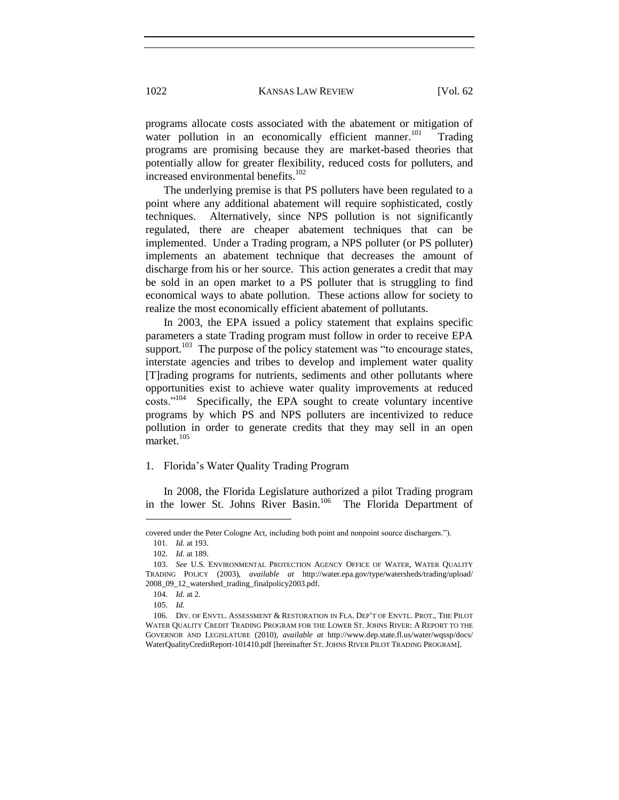programs allocate costs associated with the abatement or mitigation of water pollution in an economically efficient manner.<sup>101</sup> Trading programs are promising because they are market-based theories that potentially allow for greater flexibility, reduced costs for polluters, and increased environmental benefits.<sup>102</sup>

The underlying premise is that PS polluters have been regulated to a point where any additional abatement will require sophisticated, costly techniques. Alternatively, since NPS pollution is not significantly regulated, there are cheaper abatement techniques that can be implemented. Under a Trading program, a NPS polluter (or PS polluter) implements an abatement technique that decreases the amount of discharge from his or her source. This action generates a credit that may be sold in an open market to a PS polluter that is struggling to find economical ways to abate pollution. These actions allow for society to realize the most economically efficient abatement of pollutants.

In 2003, the EPA issued a policy statement that explains specific parameters a state Trading program must follow in order to receive EPA support.<sup>103</sup> The purpose of the policy statement was "to encourage states, interstate agencies and tribes to develop and implement water quality [T]rading programs for nutrients, sediments and other pollutants where opportunities exist to achieve water quality improvements at reduced costs."<sup>104</sup> Specifically, the EPA sought to create voluntary incentive programs by which PS and NPS polluters are incentivized to reduce pollution in order to generate credits that they may sell in an open market.<sup>105</sup>

# 1. Florida's Water Quality Trading Program

In 2008, the Florida Legislature authorized a pilot Trading program in the lower St. Johns River Basin.<sup>106</sup> The Florida Department of

covered under the Peter Cologne Act, including both point and nonpoint source dischargers."). 101. *Id.* at 193.

<sup>102.</sup> *Id.* at 189.

<sup>103.</sup> *See* U.S. ENVIRONMENTAL PROTECTION AGENCY OFFICE OF WATER, WATER QUALITY TRADING POLICY (2003), *available at* <http://water.epa.gov/type/watersheds/trading/upload/> 2008\_09\_12\_watershed\_trading\_finalpolicy2003.pdf.

<sup>104.</sup> *Id.* at 2.

<sup>105.</sup> *Id.*

<sup>106.</sup> DIV. OF ENVTL. ASSESSMENT & RESTORATION IN FLA. DEP'T OF ENVTL. PROT., THE PILOT WATER QUALITY CREDIT TRADING PROGRAM FOR THE LOWER ST. JOHNS RIVER: A REPORT TO THE GOVERNOR AND LEGISLATURE (2010), *available at* <http://www.dep.state.fl.us/water/wqssp/docs/> WaterQualityCreditReport-101410.pdf [hereinafter ST. JOHNS RIVER PILOT TRADING PROGRAM].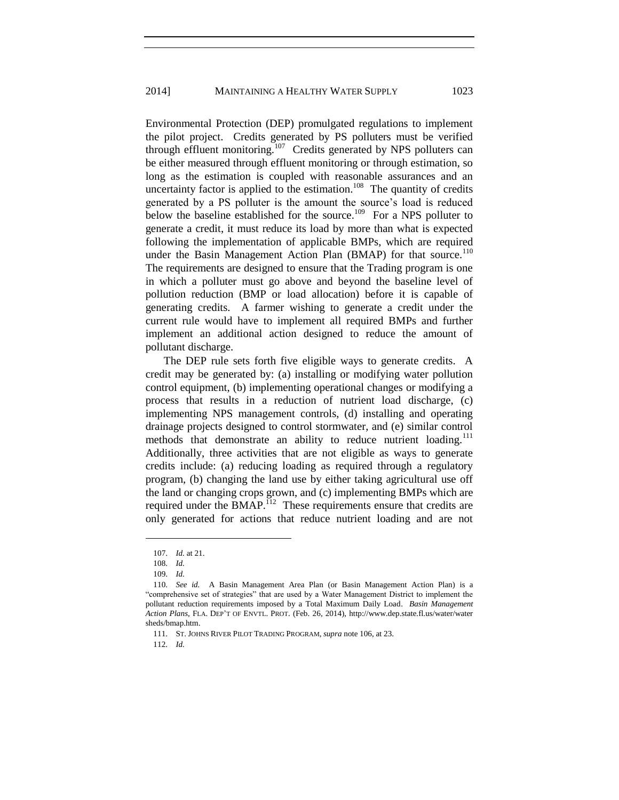Environmental Protection (DEP) promulgated regulations to implement the pilot project. Credits generated by PS polluters must be verified through effluent monitoring.<sup>107</sup> Credits generated by NPS polluters can be either measured through effluent monitoring or through estimation, so long as the estimation is coupled with reasonable assurances and an uncertainty factor is applied to the estimation.<sup>108</sup> The quantity of credits generated by a PS polluter is the amount the source's load is reduced below the baseline established for the source.<sup>109</sup> For a NPS polluter to generate a credit, it must reduce its load by more than what is expected following the implementation of applicable BMPs, which are required under the Basin Management Action Plan (BMAP) for that source.<sup>110</sup> The requirements are designed to ensure that the Trading program is one in which a polluter must go above and beyond the baseline level of pollution reduction (BMP or load allocation) before it is capable of generating credits. A farmer wishing to generate a credit under the current rule would have to implement all required BMPs and further implement an additional action designed to reduce the amount of pollutant discharge.

The DEP rule sets forth five eligible ways to generate credits. A credit may be generated by: (a) installing or modifying water pollution control equipment, (b) implementing operational changes or modifying a process that results in a reduction of nutrient load discharge, (c) implementing NPS management controls, (d) installing and operating drainage projects designed to control stormwater, and (e) similar control methods that demonstrate an ability to reduce nutrient loading.<sup>111</sup> Additionally, three activities that are not eligible as ways to generate credits include: (a) reducing loading as required through a regulatory program, (b) changing the land use by either taking agricultural use off the land or changing crops grown, and (c) implementing BMPs which are required under the  $BMAP<sup>112</sup>$  These requirements ensure that credits are only generated for actions that reduce nutrient loading and are not

 $\overline{a}$ 

112. *Id.*

<sup>107.</sup> *Id.* at 21.

<sup>108.</sup> *Id.*

<sup>109.</sup> *Id.*

<sup>110.</sup> *See id.* A Basin Management Area Plan (or Basin Management Action Plan) is a "comprehensive set of strategies" that are used by a Water Management District to implement the pollutant reduction requirements imposed by a Total Maximum Daily Load. *Basin Management Action Plans*, FLA. DEP'T OF ENVTL. PROT. (Feb. 26, 2014),<http://www.dep.state.fl.us/water/water> sheds/bmap.htm.

<sup>111.</sup> ST. JOHNS RIVER PILOT TRADING PROGRAM, *supra* note 106, at 23.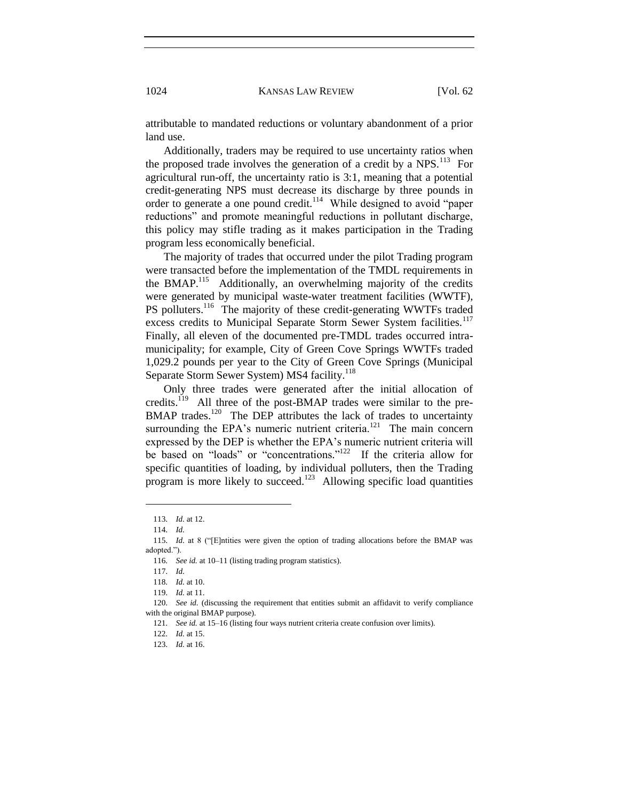attributable to mandated reductions or voluntary abandonment of a prior land use.

Additionally, traders may be required to use uncertainty ratios when the proposed trade involves the generation of a credit by a  $NPS$ <sup>113</sup> For agricultural run-off, the uncertainty ratio is 3:1, meaning that a potential credit-generating NPS must decrease its discharge by three pounds in order to generate a one pound credit.<sup>114</sup> While designed to avoid "paper reductions" and promote meaningful reductions in pollutant discharge, this policy may stifle trading as it makes participation in the Trading program less economically beneficial.

The majority of trades that occurred under the pilot Trading program were transacted before the implementation of the TMDL requirements in the BMAP.<sup>115</sup> Additionally, an overwhelming majority of the credits were generated by municipal waste-water treatment facilities (WWTF), PS polluters.<sup>116</sup> The majority of these credit-generating WWTFs traded excess credits to Municipal Separate Storm Sewer System facilities.<sup>117</sup> Finally, all eleven of the documented pre-TMDL trades occurred intramunicipality; for example, City of Green Cove Springs WWTFs traded 1,029.2 pounds per year to the City of Green Cove Springs (Municipal Separate Storm Sewer System) MS4 facility.<sup>118</sup>

Only three trades were generated after the initial allocation of credits.<sup>119</sup> All three of the post-BMAP trades were similar to the pre-BMAP trades.<sup>120</sup> The DEP attributes the lack of trades to uncertainty surrounding the EPA's numeric nutrient criteria. $^{121}$  The main concern expressed by the DEP is whether the EPA's numeric nutrient criteria will be based on "loads" or "concentrations."<sup>122</sup> If the criteria allow for specific quantities of loading, by individual polluters, then the Trading program is more likely to succeed.<sup>123</sup> Allowing specific load quantities

<sup>113.</sup> *Id.* at 12.

<sup>114.</sup> *Id.*

<sup>115.</sup> *Id.* at 8 ("[E]ntities were given the option of trading allocations before the BMAP was adopted.").

<sup>116.</sup> *See id.* at 10–11 (listing trading program statistics).

<sup>117.</sup> *Id.*

<sup>118.</sup> *Id.* at 10.

<sup>119.</sup> *Id.* at 11.

<sup>120.</sup> *See id.* (discussing the requirement that entities submit an affidavit to verify compliance with the original BMAP purpose).

<sup>121.</sup> *See id.* at 15–16 (listing four ways nutrient criteria create confusion over limits).

<sup>122.</sup> *Id.* at 15.

<sup>123.</sup> *Id.* at 16.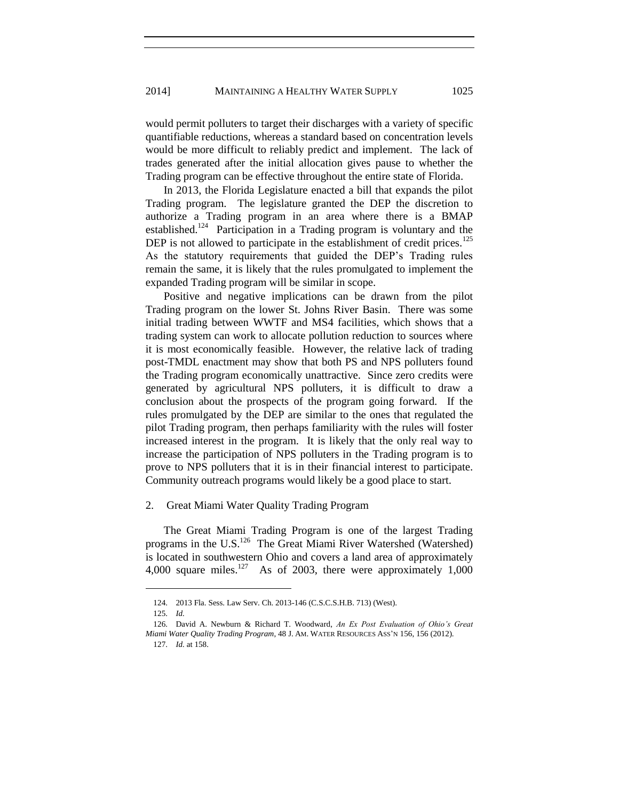would permit polluters to target their discharges with a variety of specific quantifiable reductions, whereas a standard based on concentration levels would be more difficult to reliably predict and implement. The lack of trades generated after the initial allocation gives pause to whether the Trading program can be effective throughout the entire state of Florida.

In 2013, the Florida Legislature enacted a bill that expands the pilot Trading program. The legislature granted the DEP the discretion to authorize a Trading program in an area where there is a BMAP established.<sup>124</sup> Participation in a Trading program is voluntary and the DEP is not allowed to participate in the establishment of credit prices.<sup>125</sup> As the statutory requirements that guided the DEP's Trading rules remain the same, it is likely that the rules promulgated to implement the expanded Trading program will be similar in scope.

Positive and negative implications can be drawn from the pilot Trading program on the lower St. Johns River Basin. There was some initial trading between WWTF and MS4 facilities, which shows that a trading system can work to allocate pollution reduction to sources where it is most economically feasible. However, the relative lack of trading post-TMDL enactment may show that both PS and NPS polluters found the Trading program economically unattractive. Since zero credits were generated by agricultural NPS polluters, it is difficult to draw a conclusion about the prospects of the program going forward. If the rules promulgated by the DEP are similar to the ones that regulated the pilot Trading program, then perhaps familiarity with the rules will foster increased interest in the program. It is likely that the only real way to increase the participation of NPS polluters in the Trading program is to prove to NPS polluters that it is in their financial interest to participate. Community outreach programs would likely be a good place to start.

2. Great Miami Water Quality Trading Program

The Great Miami Trading Program is one of the largest Trading programs in the U.S.<sup>126</sup> The Great Miami River Watershed (Watershed) is located in southwestern Ohio and covers a land area of approximately 4,000 square miles.<sup>127</sup> As of 2003, there were approximately 1,000

<sup>124.</sup> 2013 Fla. Sess. Law Serv. Ch. 2013-146 (C.S.C.S.H.B. 713) (West).

<sup>125.</sup> *Id.*

<sup>126.</sup> David A. Newburn & Richard T. Woodward, *An Ex Post Evaluation of Ohio's Great Miami Water Quality Trading Program*, 48 J. AM. WATER RESOURCES ASS'N 156, 156 (2012).

<sup>127.</sup> *Id.* at 158.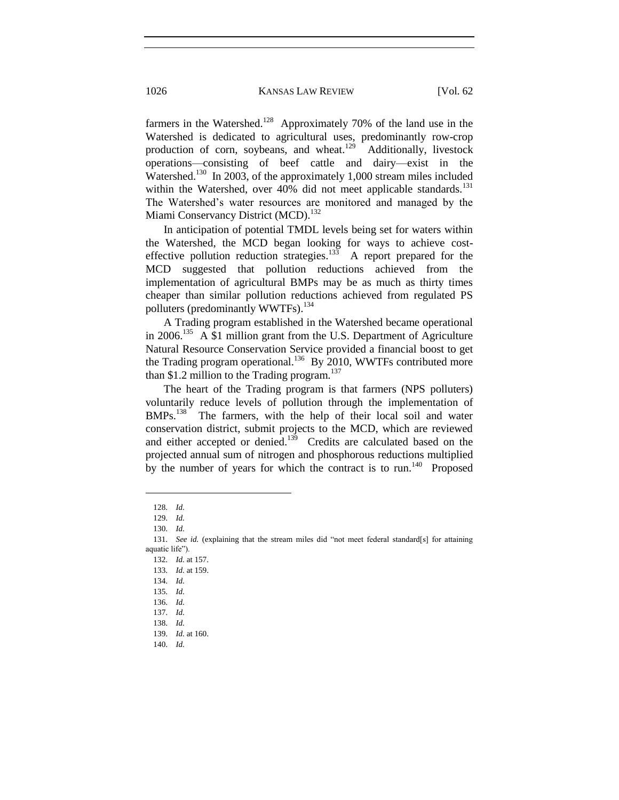farmers in the Watershed.<sup>128</sup> Approximately 70% of the land use in the Watershed is dedicated to agricultural uses, predominantly row-crop production of corn, soybeans, and wheat.<sup>129</sup> Additionally, livestock operations—consisting of beef cattle and dairy—exist in the Watershed.<sup>130</sup> In 2003, of the approximately 1,000 stream miles included within the Watershed, over 40% did not meet applicable standards.<sup>131</sup> The Watershed's water resources are monitored and managed by the Miami Conservancy District (MCD).<sup>132</sup>

In anticipation of potential TMDL levels being set for waters within the Watershed, the MCD began looking for ways to achieve costeffective pollution reduction strategies. $^{133}$  A report prepared for the MCD suggested that pollution reductions achieved from the implementation of agricultural BMPs may be as much as thirty times cheaper than similar pollution reductions achieved from regulated PS polluters (predominantly WWTFs).<sup>134</sup>

A Trading program established in the Watershed became operational in 2006.<sup>135</sup> A \$1 million grant from the U.S. Department of Agriculture Natural Resource Conservation Service provided a financial boost to get the Trading program operational.<sup>136</sup> By 2010, WWTFs contributed more than \$1.2 million to the Trading program. $137$ 

The heart of the Trading program is that farmers (NPS polluters) voluntarily reduce levels of pollution through the implementation of BMPs.<sup>138</sup> The farmers, with the help of their local soil and water conservation district, submit projects to the MCD, which are reviewed and either accepted or denied.<sup>139</sup> Credits are calculated based on the projected annual sum of nitrogen and phosphorous reductions multiplied by the number of years for which the contract is to  $run<sup>140</sup>$ . Proposed

<sup>128.</sup> *Id.*

<sup>129.</sup> *Id.*

<sup>130.</sup> *Id.*

<sup>131.</sup> *See id.* (explaining that the stream miles did "not meet federal standard[s] for attaining aquatic life").

<sup>132.</sup> *Id.* at 157. 133. *Id.* at 159.

<sup>134.</sup> *Id.*

<sup>135.</sup> *Id.*

<sup>136.</sup> *Id.*

<sup>137.</sup> *Id.*

<sup>138.</sup> *Id.*

<sup>139.</sup> *Id.* at 160.

<sup>140.</sup> *Id.*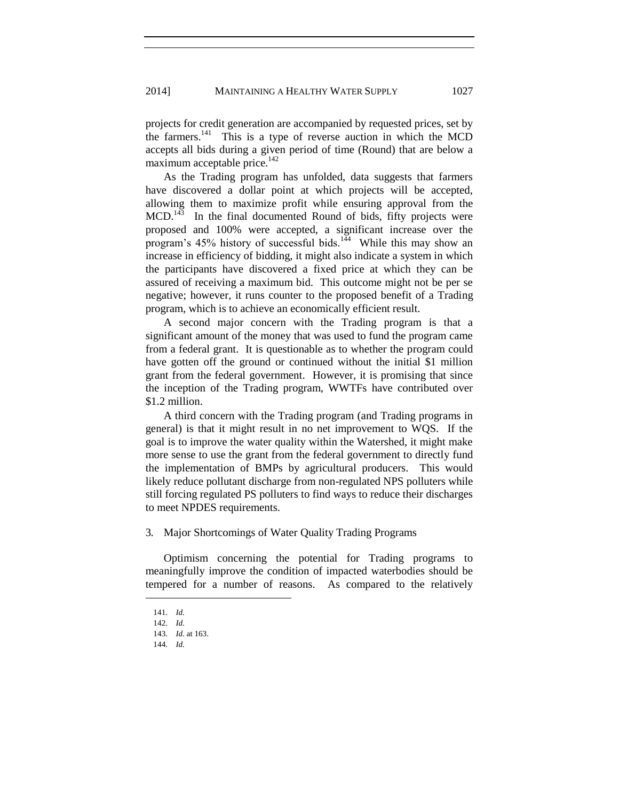projects for credit generation are accompanied by requested prices, set by the farmers.<sup>141</sup> This is a type of reverse auction in which the MCD accepts all bids during a given period of time (Round) that are below a maximum acceptable price.<sup>142</sup>

As the Trading program has unfolded, data suggests that farmers have discovered a dollar point at which projects will be accepted, allowing them to maximize profit while ensuring approval from the  $MCD$ <sup>143</sup> In the final documented Round of bids, fifty projects were proposed and 100% were accepted, a significant increase over the program's  $45\%$  history of successful bids.<sup>144</sup> While this may show an increase in efficiency of bidding, it might also indicate a system in which the participants have discovered a fixed price at which they can be assured of receiving a maximum bid. This outcome might not be per se negative; however, it runs counter to the proposed benefit of a Trading program, which is to achieve an economically efficient result.

A second major concern with the Trading program is that a significant amount of the money that was used to fund the program came from a federal grant. It is questionable as to whether the program could have gotten off the ground or continued without the initial \$1 million grant from the federal government. However, it is promising that since the inception of the Trading program, WWTFs have contributed over \$1.2 million.

A third concern with the Trading program (and Trading programs in general) is that it might result in no net improvement to WQS. If the goal is to improve the water quality within the Watershed, it might make more sense to use the grant from the federal government to directly fund the implementation of BMPs by agricultural producers. This would likely reduce pollutant discharge from non-regulated NPS polluters while still forcing regulated PS polluters to find ways to reduce their discharges to meet NPDES requirements.

3*.* Major Shortcomings of Water Quality Trading Programs

Optimism concerning the potential for Trading programs to meaningfully improve the condition of impacted waterbodies should be tempered for a number of reasons. As compared to the relatively

<sup>141.</sup> *Id.*

<sup>142.</sup> *Id.*

<sup>143.</sup> *Id.* at 163.

<sup>144.</sup> *Id.*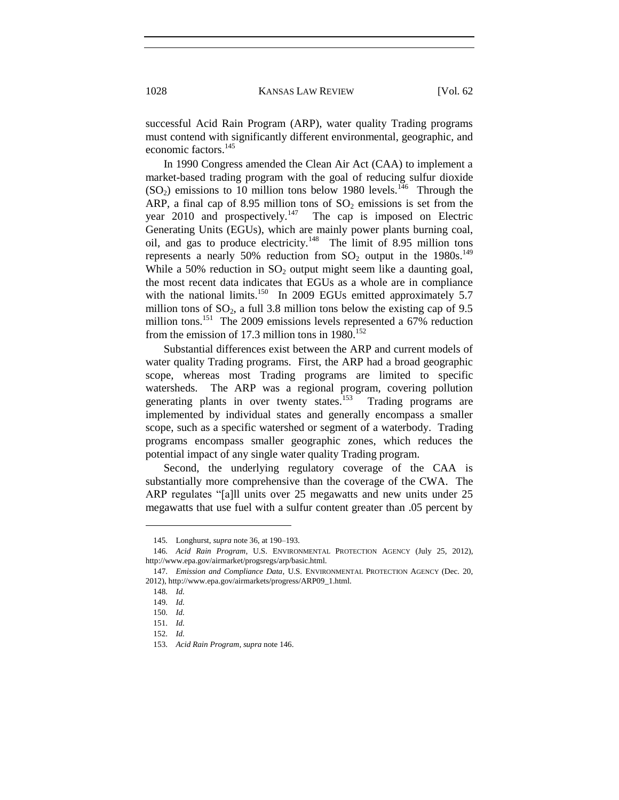successful Acid Rain Program (ARP), water quality Trading programs must contend with significantly different environmental, geographic, and economic factors.<sup>145</sup>

In 1990 Congress amended the Clean Air Act (CAA) to implement a market-based trading program with the goal of reducing sulfur dioxide  $(SO_2)$  emissions to 10 million tons below 1980 levels.<sup>146</sup> Through the ARP, a final cap of 8.95 million tons of  $SO_2$  emissions is set from the year 2010 and prospectively.<sup>147</sup> The cap is imposed on Electric Generating Units (EGUs), which are mainly power plants burning coal, oil, and gas to produce electricity.<sup>148</sup> The limit of 8.95 million tons represents a nearly 50% reduction from  $SO_2$  output in the 1980s.<sup>149</sup> While a 50% reduction in  $SO_2$  output might seem like a daunting goal, the most recent data indicates that EGUs as a whole are in compliance with the national limits.<sup>150</sup> In 2009 EGUs emitted approximately 5.7 million tons of  $SO_2$ , a full 3.8 million tons below the existing cap of 9.5 million tons.<sup>151</sup> The 2009 emissions levels represented a 67% reduction from the emission of 17.3 million tons in  $1980$ <sup>152</sup>

Substantial differences exist between the ARP and current models of water quality Trading programs. First, the ARP had a broad geographic scope, whereas most Trading programs are limited to specific watersheds. The ARP was a regional program, covering pollution generating plants in over twenty states.<sup>153</sup> Trading programs are implemented by individual states and generally encompass a smaller scope, such as a specific watershed or segment of a waterbody. Trading programs encompass smaller geographic zones, which reduces the potential impact of any single water quality Trading program.

Second, the underlying regulatory coverage of the CAA is substantially more comprehensive than the coverage of the CWA. The ARP regulates "[a]ll units over 25 megawatts and new units under 25 megawatts that use fuel with a sulfur content greater than .05 percent by

<sup>145.</sup> Longhurst, *supra* note 36, at 190–193.

<sup>146.</sup> *Acid Rain Program*, U.S. ENVIRONMENTAL PROTECTION AGENCY (July 25, 2012), http://www.epa.gov/airmarket/progsregs/arp/basic.html.

<sup>147.</sup> *Emission and Compliance Data*, U.S. ENVIRONMENTAL PROTECTION AGENCY (Dec. 20, 2012), http://www.epa.gov/airmarkets/progress/ARP09\_1.html.

<sup>148.</sup> *Id.*

<sup>149.</sup> *Id.*

<sup>150.</sup> *Id.*

<sup>151.</sup> *Id.*

<sup>152.</sup> *Id.*

<sup>153.</sup> *Acid Rain Program*, *supra* note 146.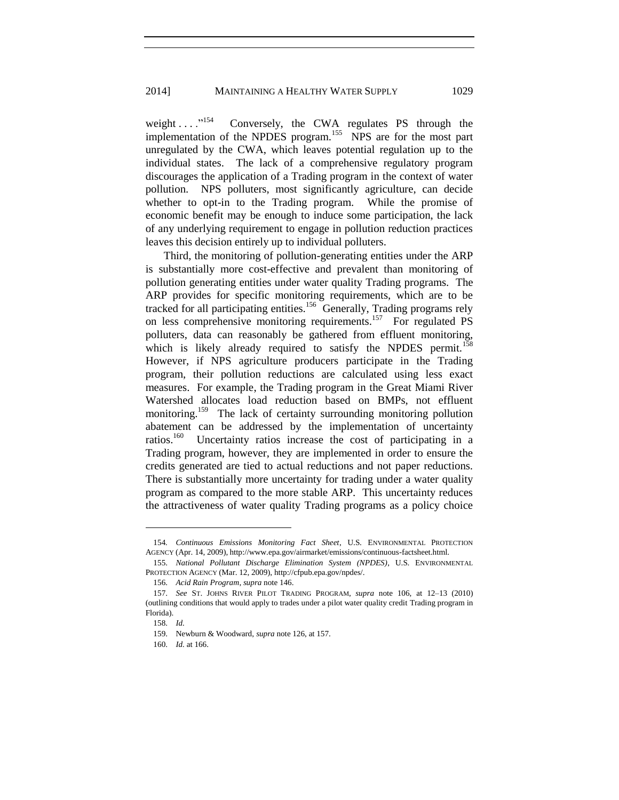weight  $\ldots$  ...<sup>154</sup> Conversely, the CWA regulates PS through the implementation of the NPDES program.<sup>155</sup> NPS are for the most part unregulated by the CWA, which leaves potential regulation up to the individual states. The lack of a comprehensive regulatory program discourages the application of a Trading program in the context of water pollution. NPS polluters, most significantly agriculture, can decide whether to opt-in to the Trading program. While the promise of economic benefit may be enough to induce some participation, the lack of any underlying requirement to engage in pollution reduction practices leaves this decision entirely up to individual polluters.

Third, the monitoring of pollution-generating entities under the ARP is substantially more cost-effective and prevalent than monitoring of pollution generating entities under water quality Trading programs. The ARP provides for specific monitoring requirements, which are to be tracked for all participating entities.<sup>156</sup> Generally, Trading programs rely on less comprehensive monitoring requirements.<sup>157</sup> For regulated PS polluters, data can reasonably be gathered from effluent monitoring, which is likely already required to satisfy the NPDES permit.<sup>158</sup> However, if NPS agriculture producers participate in the Trading program, their pollution reductions are calculated using less exact measures. For example, the Trading program in the Great Miami River Watershed allocates load reduction based on BMPs, not effluent monitoring.<sup>159</sup> The lack of certainty surrounding monitoring pollution abatement can be addressed by the implementation of uncertainty ratios.<sup>160</sup> Uncertainty ratios increase the cost of participating in a Trading program, however, they are implemented in order to ensure the credits generated are tied to actual reductions and not paper reductions. There is substantially more uncertainty for trading under a water quality program as compared to the more stable ARP. This uncertainty reduces the attractiveness of water quality Trading programs as a policy choice

 $\overline{\phantom{a}}$ 

<sup>154</sup>*. Continuous Emissions Monitoring Fact Sheet*, U.S. ENVIRONMENTAL PROTECTION AGENCY (Apr. 14, 2009), http://www.epa.gov/airmarket/emissions/continuous-factsheet.html.

<sup>155.</sup> *National Pollutant Discharge Elimination System (NPDES)*, U.S. ENVIRONMENTAL PROTECTION AGENCY (Mar. 12, 2009), http://cfpub.epa.gov/npdes/.

<sup>156.</sup> *Acid Rain Program*, *supra* note 146.

<sup>157.</sup> *See* ST. JOHNS RIVER PILOT TRADING PROGRAM, *supra* note 106, at 12–13 (2010) (outlining conditions that would apply to trades under a pilot water quality credit Trading program in Florida).

<sup>158.</sup> *Id.*

<sup>159.</sup> Newburn & Woodward, *supra* note 126, at 157.

<sup>160.</sup> *Id.* at 166.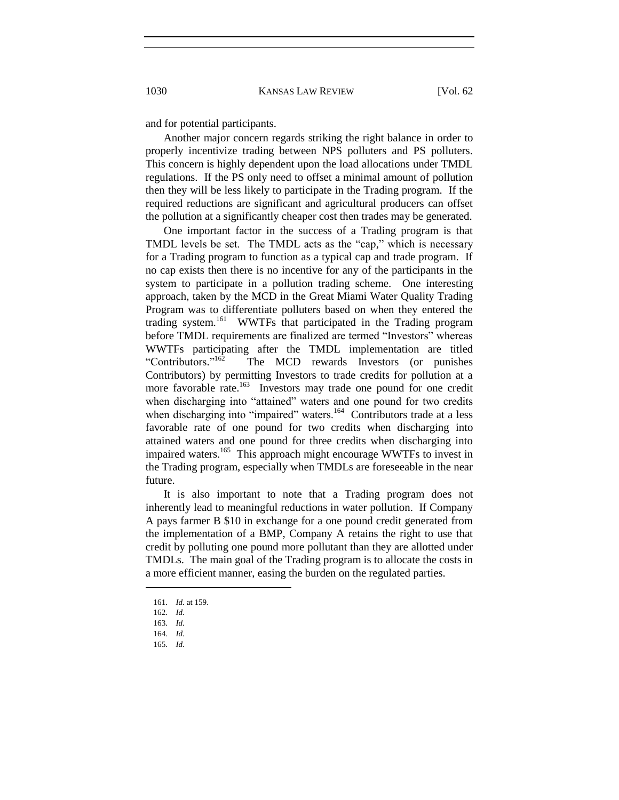and for potential participants.

Another major concern regards striking the right balance in order to properly incentivize trading between NPS polluters and PS polluters. This concern is highly dependent upon the load allocations under TMDL regulations. If the PS only need to offset a minimal amount of pollution then they will be less likely to participate in the Trading program. If the required reductions are significant and agricultural producers can offset the pollution at a significantly cheaper cost then trades may be generated.

One important factor in the success of a Trading program is that TMDL levels be set. The TMDL acts as the "cap," which is necessary for a Trading program to function as a typical cap and trade program. If no cap exists then there is no incentive for any of the participants in the system to participate in a pollution trading scheme. One interesting approach, taken by the MCD in the Great Miami Water Quality Trading Program was to differentiate polluters based on when they entered the trading system.<sup>161</sup> WWTFs that participated in the Trading program before TMDL requirements are finalized are termed "Investors" whereas WWTFs participating after the TMDL implementation are titled "Contributors."<sup>162</sup> The MCD rewards Investors (or punishes Contributors) by permitting Investors to trade credits for pollution at a more favorable rate.<sup>163</sup> Investors may trade one pound for one credit when discharging into "attained" waters and one pound for two credits when discharging into "impaired" waters.<sup>164</sup> Contributors trade at a less favorable rate of one pound for two credits when discharging into attained waters and one pound for three credits when discharging into impaired waters.<sup>165</sup> This approach might encourage WWTFs to invest in the Trading program, especially when TMDLs are foreseeable in the near future.

It is also important to note that a Trading program does not inherently lead to meaningful reductions in water pollution. If Company A pays farmer B \$10 in exchange for a one pound credit generated from the implementation of a BMP, Company A retains the right to use that credit by polluting one pound more pollutant than they are allotted under TMDLs. The main goal of the Trading program is to allocate the costs in a more efficient manner, easing the burden on the regulated parties.

l

165. *Id.*

<sup>161.</sup> *Id.* at 159.

<sup>162.</sup> *Id.*

<sup>163.</sup> *Id.*

<sup>164.</sup> *Id.*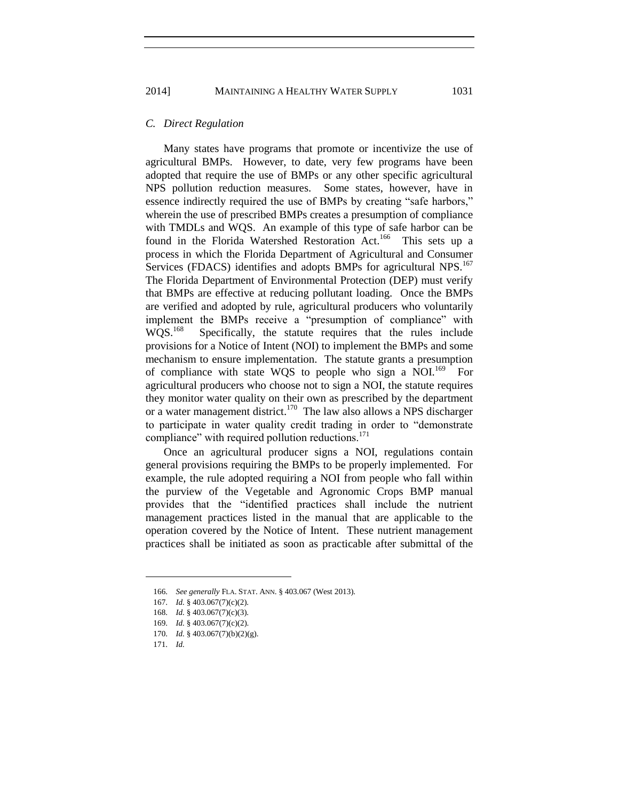# *C. Direct Regulation*

Many states have programs that promote or incentivize the use of agricultural BMPs. However, to date, very few programs have been adopted that require the use of BMPs or any other specific agricultural NPS pollution reduction measures. Some states, however, have in essence indirectly required the use of BMPs by creating "safe harbors," wherein the use of prescribed BMPs creates a presumption of compliance with TMDLs and WQS. An example of this type of safe harbor can be found in the Florida Watershed Restoration Act.<sup>166</sup> This sets up a process in which the Florida Department of Agricultural and Consumer Services (FDACS) identifies and adopts BMPs for agricultural NPS.<sup>167</sup> The Florida Department of Environmental Protection (DEP) must verify that BMPs are effective at reducing pollutant loading. Once the BMPs are verified and adopted by rule, agricultural producers who voluntarily implement the BMPs receive a "presumption of compliance" with  $WOS.<sup>168</sup>$  Specifically, the statute requires that the rules include provisions for a Notice of Intent (NOI) to implement the BMPs and some mechanism to ensure implementation. The statute grants a presumption of compliance with state WQS to people who sign a NOI.<sup>169</sup> For agricultural producers who choose not to sign a NOI, the statute requires they monitor water quality on their own as prescribed by the department or a water management district.<sup>170</sup> The law also allows a NPS discharger to participate in water quality credit trading in order to "demonstrate compliance" with required pollution reductions. $171$ 

Once an agricultural producer signs a NOI, regulations contain general provisions requiring the BMPs to be properly implemented. For example, the rule adopted requiring a NOI from people who fall within the purview of the Vegetable and Agronomic Crops BMP manual provides that the "identified practices shall include the nutrient management practices listed in the manual that are applicable to the operation covered by the Notice of Intent. These nutrient management practices shall be initiated as soon as practicable after submittal of the

<sup>166.</sup> *See generally* FLA. STAT. ANN. § 403.067 (West 2013).

<sup>167.</sup> *Id.* § 403.067(7)(c)(2).

<sup>168.</sup> *Id.* § 403.067(7)(c)(3).

<sup>169.</sup> *Id.* § 403.067(7)(c)(2).

<sup>170.</sup> *Id.* § 403.067(7)(b)(2)(g).

<sup>171.</sup> *Id.*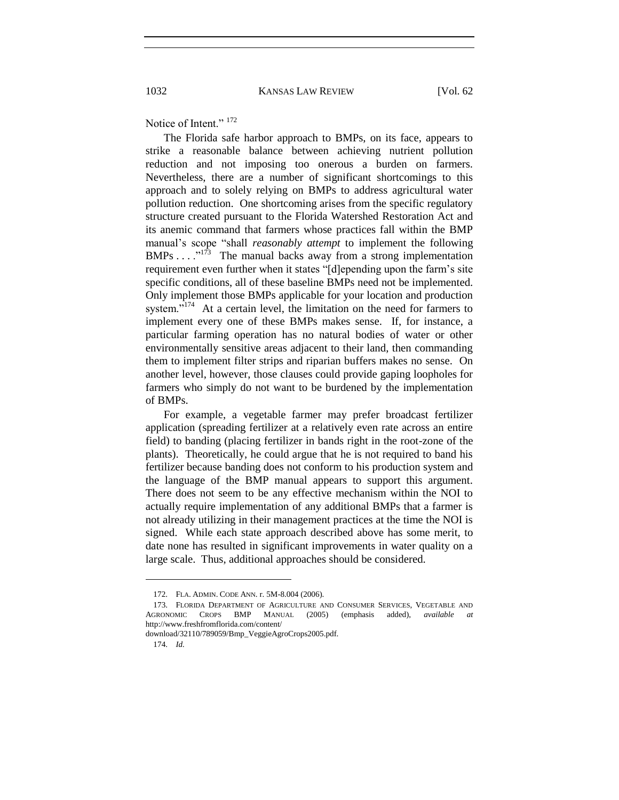Notice of Intent."  $172$ 

The Florida safe harbor approach to BMPs, on its face, appears to strike a reasonable balance between achieving nutrient pollution reduction and not imposing too onerous a burden on farmers. Nevertheless, there are a number of significant shortcomings to this approach and to solely relying on BMPs to address agricultural water pollution reduction. One shortcoming arises from the specific regulatory structure created pursuant to the Florida Watershed Restoration Act and its anemic command that farmers whose practices fall within the BMP manual's scope "shall *reasonably attempt* to implement the following  $BMPs$ ....<sup>"173</sup> The manual backs away from a strong implementation requirement even further when it states "[d]epending upon the farm's site specific conditions, all of these baseline BMPs need not be implemented. Only implement those BMPs applicable for your location and production system."<sup>174</sup> At a certain level, the limitation on the need for farmers to implement every one of these BMPs makes sense. If, for instance, a particular farming operation has no natural bodies of water or other environmentally sensitive areas adjacent to their land, then commanding them to implement filter strips and riparian buffers makes no sense. On another level, however, those clauses could provide gaping loopholes for farmers who simply do not want to be burdened by the implementation of BMPs.

For example, a vegetable farmer may prefer broadcast fertilizer application (spreading fertilizer at a relatively even rate across an entire field) to banding (placing fertilizer in bands right in the root-zone of the plants). Theoretically, he could argue that he is not required to band his fertilizer because banding does not conform to his production system and the language of the BMP manual appears to support this argument. There does not seem to be any effective mechanism within the NOI to actually require implementation of any additional BMPs that a farmer is not already utilizing in their management practices at the time the NOI is signed. While each state approach described above has some merit, to date none has resulted in significant improvements in water quality on a large scale. Thus, additional approaches should be considered.

<sup>172.</sup> FLA. ADMIN. CODE ANN. r. 5M-8.004 (2006).

<sup>173.</sup> FLORIDA DEPARTMENT OF AGRICULTURE AND CONSUMER SERVICES, VEGETABLE AND AGRONOMIC CROPS BMP MANUAL (2005) (emphasis added), *available at* <http://www.freshfromflorida.com/content/>

download/32110/789059/Bmp\_VeggieAgroCrops2005.pdf.

<sup>174.</sup> *Id.*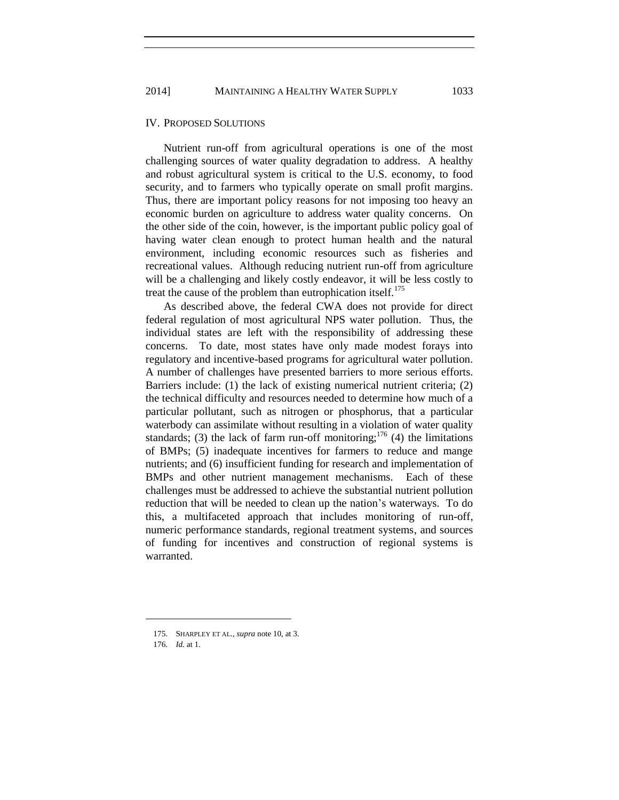### IV. PROPOSED SOLUTIONS

Nutrient run-off from agricultural operations is one of the most challenging sources of water quality degradation to address. A healthy and robust agricultural system is critical to the U.S. economy, to food security, and to farmers who typically operate on small profit margins. Thus, there are important policy reasons for not imposing too heavy an economic burden on agriculture to address water quality concerns. On the other side of the coin, however, is the important public policy goal of having water clean enough to protect human health and the natural environment, including economic resources such as fisheries and recreational values. Although reducing nutrient run-off from agriculture will be a challenging and likely costly endeavor, it will be less costly to treat the cause of the problem than eutrophication itself. $175$ 

As described above, the federal CWA does not provide for direct federal regulation of most agricultural NPS water pollution. Thus, the individual states are left with the responsibility of addressing these concerns. To date, most states have only made modest forays into regulatory and incentive-based programs for agricultural water pollution. A number of challenges have presented barriers to more serious efforts. Barriers include: (1) the lack of existing numerical nutrient criteria; (2) the technical difficulty and resources needed to determine how much of a particular pollutant, such as nitrogen or phosphorus, that a particular waterbody can assimilate without resulting in a violation of water quality standards; (3) the lack of farm run-off monitoring;<sup>176</sup> (4) the limitations of BMPs; (5) inadequate incentives for farmers to reduce and mange nutrients; and (6) insufficient funding for research and implementation of BMPs and other nutrient management mechanisms. Each of these challenges must be addressed to achieve the substantial nutrient pollution reduction that will be needed to clean up the nation's waterways. To do this, a multifaceted approach that includes monitoring of run-off, numeric performance standards, regional treatment systems, and sources of funding for incentives and construction of regional systems is warranted.

<sup>175.</sup> SHARPLEY ET AL., *supra* note 10, at 3.

<sup>176.</sup> *Id.* at 1.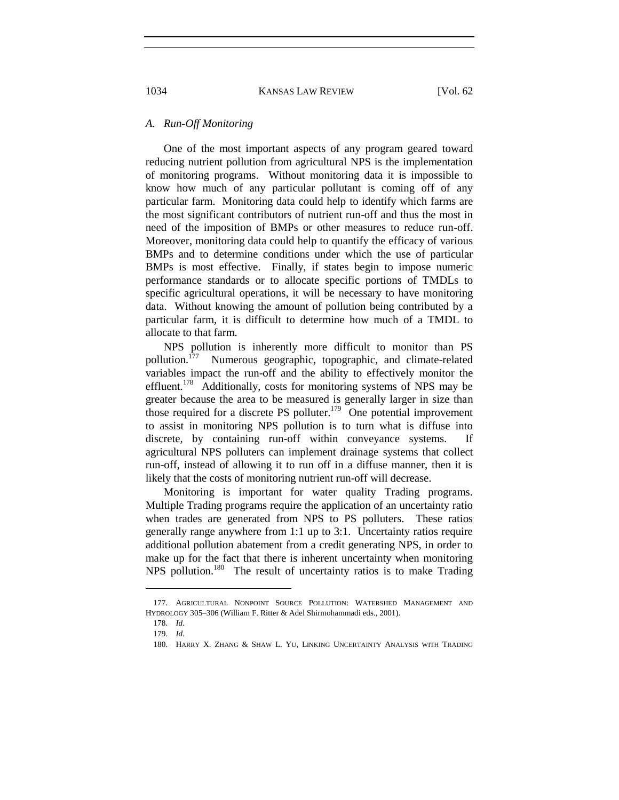### *A. Run-Off Monitoring*

One of the most important aspects of any program geared toward reducing nutrient pollution from agricultural NPS is the implementation of monitoring programs. Without monitoring data it is impossible to know how much of any particular pollutant is coming off of any particular farm. Monitoring data could help to identify which farms are the most significant contributors of nutrient run-off and thus the most in need of the imposition of BMPs or other measures to reduce run-off. Moreover, monitoring data could help to quantify the efficacy of various BMPs and to determine conditions under which the use of particular BMPs is most effective. Finally, if states begin to impose numeric performance standards or to allocate specific portions of TMDLs to specific agricultural operations, it will be necessary to have monitoring data. Without knowing the amount of pollution being contributed by a particular farm, it is difficult to determine how much of a TMDL to allocate to that farm.

NPS pollution is inherently more difficult to monitor than PS pollution.<sup>177</sup> Numerous geographic, topographic, and climate-related variables impact the run-off and the ability to effectively monitor the effluent.<sup>178</sup> Additionally, costs for monitoring systems of NPS may be greater because the area to be measured is generally larger in size than those required for a discrete PS polluter.<sup>179</sup> One potential improvement to assist in monitoring NPS pollution is to turn what is diffuse into discrete, by containing run-off within conveyance systems. If agricultural NPS polluters can implement drainage systems that collect run-off, instead of allowing it to run off in a diffuse manner, then it is likely that the costs of monitoring nutrient run-off will decrease.

Monitoring is important for water quality Trading programs. Multiple Trading programs require the application of an uncertainty ratio when trades are generated from NPS to PS polluters. These ratios generally range anywhere from 1:1 up to 3:1. Uncertainty ratios require additional pollution abatement from a credit generating NPS, in order to make up for the fact that there is inherent uncertainty when monitoring NPS pollution.<sup>180</sup> The result of uncertainty ratios is to make Trading

 $\overline{\phantom{a}}$ 

<sup>177.</sup> AGRICULTURAL NONPOINT SOURCE POLLUTION: WATERSHED MANAGEMENT AND HYDROLOGY 305–306 (William F. Ritter & Adel Shirmohammadi eds., 2001).

<sup>178.</sup> *Id.*

<sup>179.</sup> *Id.*

<sup>180.</sup> HARRY X. ZHANG & SHAW L. YU, LINKING UNCERTAINTY ANALYSIS WITH TRADING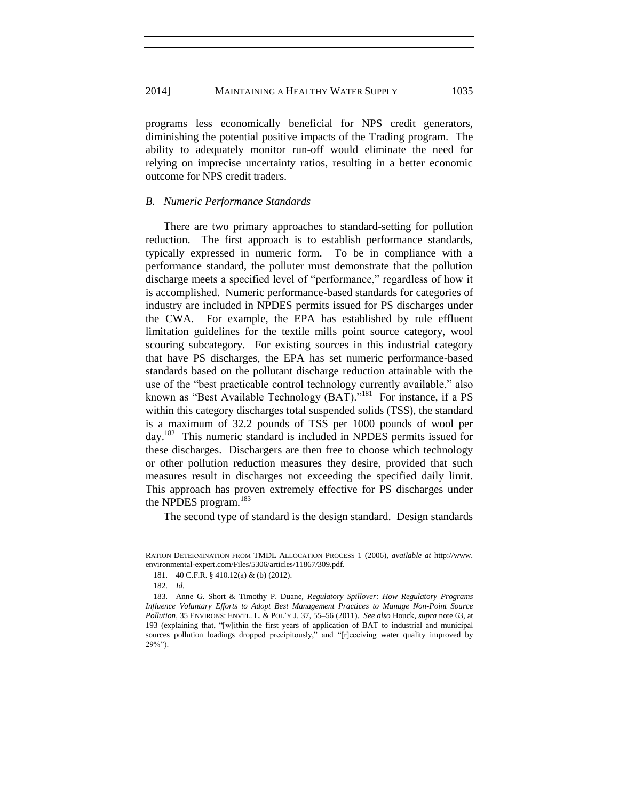programs less economically beneficial for NPS credit generators, diminishing the potential positive impacts of the Trading program. The ability to adequately monitor run-off would eliminate the need for relying on imprecise uncertainty ratios, resulting in a better economic outcome for NPS credit traders.

#### *B. Numeric Performance Standards*

There are two primary approaches to standard-setting for pollution reduction. The first approach is to establish performance standards, typically expressed in numeric form. To be in compliance with a performance standard, the polluter must demonstrate that the pollution discharge meets a specified level of "performance," regardless of how it is accomplished. Numeric performance-based standards for categories of industry are included in NPDES permits issued for PS discharges under the CWA. For example, the EPA has established by rule effluent limitation guidelines for the textile mills point source category, wool scouring subcategory. For existing sources in this industrial category that have PS discharges, the EPA has set numeric performance-based standards based on the pollutant discharge reduction attainable with the use of the "best practicable control technology currently available," also known as "Best Available Technology (BAT)."<sup>181</sup> For instance, if a PS within this category discharges total suspended solids (TSS), the standard is a maximum of 32.2 pounds of TSS per 1000 pounds of wool per day.<sup>182</sup> This numeric standard is included in NPDES permits issued for these discharges. Dischargers are then free to choose which technology or other pollution reduction measures they desire, provided that such measures result in discharges not exceeding the specified daily limit. This approach has proven extremely effective for PS discharges under the NPDES program.<sup>183</sup>

The second type of standard is the design standard. Design standards

 $\overline{\phantom{a}}$ 

RATION DETERMINATION FROM TMDL ALLOCATION PROCESS 1 (2006), *available at* [http://www.](http://www/) environmental-expert.com/Files/5306/articles/11867/309.pdf.

<sup>181.</sup> 40 C.F.R. § 410.12(a) & (b) (2012).

<sup>182.</sup> *Id.*

<sup>183.</sup> Anne G. Short & Timothy P. Duane, *Regulatory Spillover: How Regulatory Programs Influence Voluntary Efforts to Adopt Best Management Practices to Manage Non-Point Source Pollution*, 35 ENVIRONS: ENVTL. L. & POL'Y J. 37, 55–56 (2011). *See also* Houck, *supra* note 63, at 193 (explaining that, "[w]ithin the first years of application of BAT to industrial and municipal sources pollution loadings dropped precipitously," and "[r]eceiving water quality improved by 29%").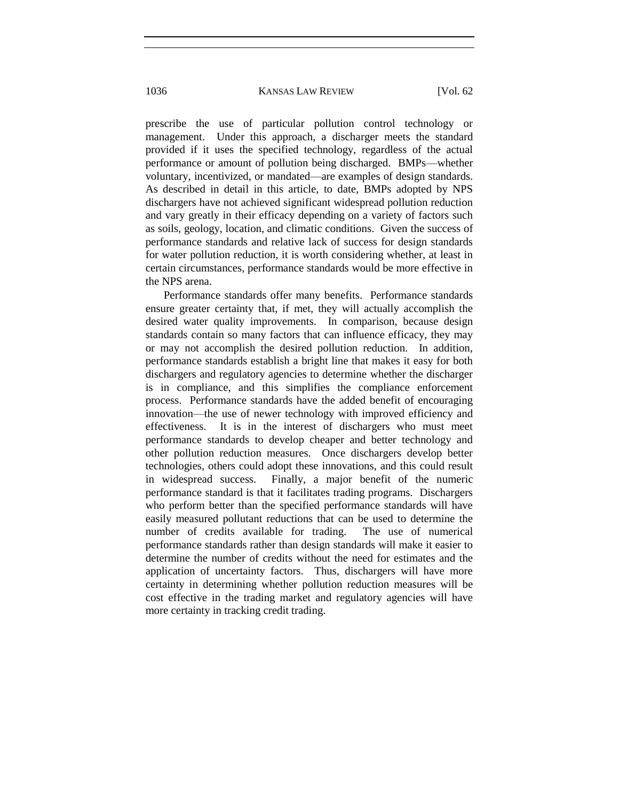prescribe the use of particular pollution control technology or management. Under this approach, a discharger meets the standard provided if it uses the specified technology, regardless of the actual performance or amount of pollution being discharged. BMPs—whether voluntary, incentivized, or mandated—are examples of design standards. As described in detail in this article, to date, BMPs adopted by NPS dischargers have not achieved significant widespread pollution reduction and vary greatly in their efficacy depending on a variety of factors such as soils, geology, location, and climatic conditions. Given the success of performance standards and relative lack of success for design standards for water pollution reduction, it is worth considering whether, at least in certain circumstances, performance standards would be more effective in the NPS arena.

Performance standards offer many benefits. Performance standards ensure greater certainty that, if met, they will actually accomplish the desired water quality improvements. In comparison, because design standards contain so many factors that can influence efficacy, they may or may not accomplish the desired pollution reduction. In addition, performance standards establish a bright line that makes it easy for both dischargers and regulatory agencies to determine whether the discharger is in compliance, and this simplifies the compliance enforcement process. Performance standards have the added benefit of encouraging innovation—the use of newer technology with improved efficiency and effectiveness. It is in the interest of dischargers who must meet performance standards to develop cheaper and better technology and other pollution reduction measures. Once dischargers develop better technologies, others could adopt these innovations, and this could result in widespread success. Finally, a major benefit of the numeric performance standard is that it facilitates trading programs. Dischargers who perform better than the specified performance standards will have easily measured pollutant reductions that can be used to determine the number of credits available for trading. The use of numerical performance standards rather than design standards will make it easier to determine the number of credits without the need for estimates and the application of uncertainty factors. Thus, dischargers will have more certainty in determining whether pollution reduction measures will be cost effective in the trading market and regulatory agencies will have more certainty in tracking credit trading.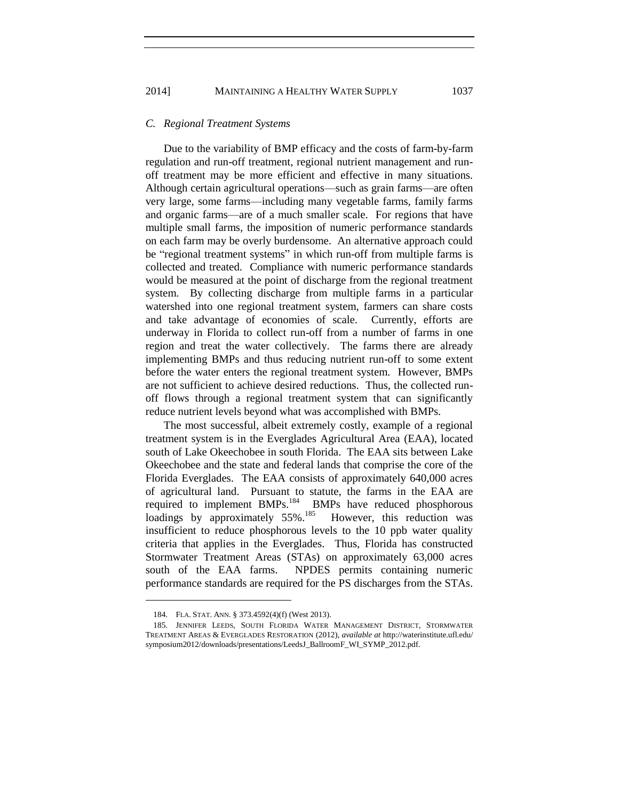#### *C. Regional Treatment Systems*

Due to the variability of BMP efficacy and the costs of farm-by-farm regulation and run-off treatment, regional nutrient management and runoff treatment may be more efficient and effective in many situations. Although certain agricultural operations—such as grain farms—are often very large, some farms—including many vegetable farms, family farms and organic farms—are of a much smaller scale. For regions that have multiple small farms, the imposition of numeric performance standards on each farm may be overly burdensome. An alternative approach could be "regional treatment systems" in which run-off from multiple farms is collected and treated. Compliance with numeric performance standards would be measured at the point of discharge from the regional treatment system. By collecting discharge from multiple farms in a particular watershed into one regional treatment system, farmers can share costs and take advantage of economies of scale. Currently, efforts are underway in Florida to collect run-off from a number of farms in one region and treat the water collectively. The farms there are already implementing BMPs and thus reducing nutrient run-off to some extent before the water enters the regional treatment system. However, BMPs are not sufficient to achieve desired reductions. Thus, the collected runoff flows through a regional treatment system that can significantly reduce nutrient levels beyond what was accomplished with BMPs.

The most successful, albeit extremely costly, example of a regional treatment system is in the Everglades Agricultural Area (EAA), located south of Lake Okeechobee in south Florida. The EAA sits between Lake Okeechobee and the state and federal lands that comprise the core of the Florida Everglades. The EAA consists of approximately 640,000 acres of agricultural land. Pursuant to statute, the farms in the EAA are required to implement BMPs.<sup>184</sup> BMPs have reduced phosphorous loadings by approximately 55%.<sup>185</sup> However, this reduction was insufficient to reduce phosphorous levels to the 10 ppb water quality criteria that applies in the Everglades. Thus, Florida has constructed Stormwater Treatment Areas (STAs) on approximately 63,000 acres south of the EAA farms. NPDES permits containing numeric performance standards are required for the PS discharges from the STAs.

 $\overline{\phantom{a}}$ 

<sup>184.</sup> FLA. STAT. ANN. § 373.4592(4)(f) (West 2013).

<sup>185.</sup> JENNIFER LEEDS, SOUTH FLORIDA WATER MANAGEMENT DISTRICT, STORMWATER TREATMENT AREAS & EVERGLADES RESTORATION (2012), *available at* <http://waterinstitute.ufl.edu/> symposium2012/downloads/presentations/LeedsJ\_BallroomF\_WI\_SYMP\_2012.pdf.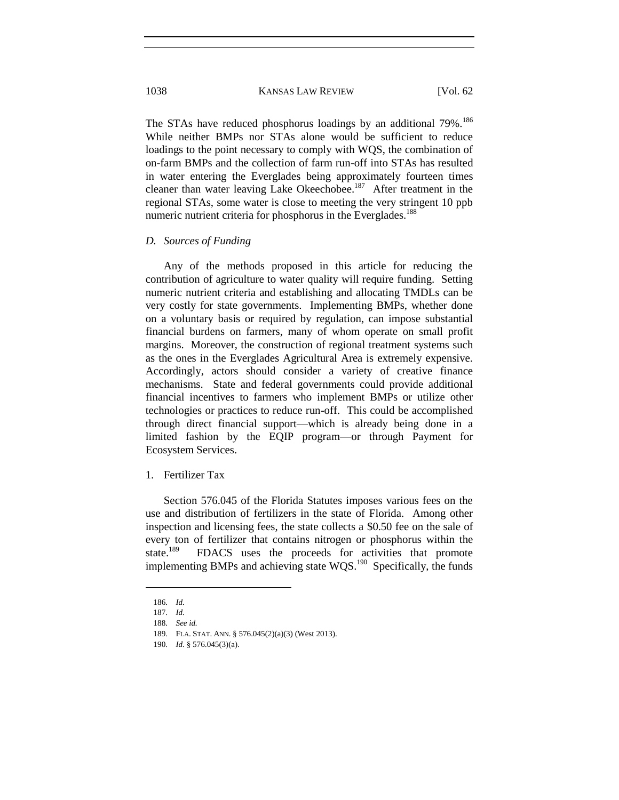The STAs have reduced phosphorus loadings by an additional 79%.<sup>186</sup> While neither BMPs nor STAs alone would be sufficient to reduce loadings to the point necessary to comply with WQS, the combination of on-farm BMPs and the collection of farm run-off into STAs has resulted in water entering the Everglades being approximately fourteen times cleaner than water leaving Lake Okeechobee.<sup>187</sup> After treatment in the regional STAs, some water is close to meeting the very stringent 10 ppb numeric nutrient criteria for phosphorus in the Everglades.<sup>188</sup>

#### *D. Sources of Funding*

Any of the methods proposed in this article for reducing the contribution of agriculture to water quality will require funding. Setting numeric nutrient criteria and establishing and allocating TMDLs can be very costly for state governments. Implementing BMPs, whether done on a voluntary basis or required by regulation, can impose substantial financial burdens on farmers, many of whom operate on small profit margins. Moreover, the construction of regional treatment systems such as the ones in the Everglades Agricultural Area is extremely expensive. Accordingly, actors should consider a variety of creative finance mechanisms. State and federal governments could provide additional financial incentives to farmers who implement BMPs or utilize other technologies or practices to reduce run-off. This could be accomplished through direct financial support—which is already being done in a limited fashion by the EQIP program—or through Payment for Ecosystem Services.

# 1. Fertilizer Tax

Section 576.045 of the Florida Statutes imposes various fees on the use and distribution of fertilizers in the state of Florida. Among other inspection and licensing fees, the state collects a \$0.50 fee on the sale of every ton of fertilizer that contains nitrogen or phosphorus within the state.<sup>189</sup> FDACS uses the proceeds for activities that promote implementing BMPs and achieving state  $WQS$ .<sup>190</sup> Specifically, the funds

<sup>186.</sup> *Id.*

<sup>187.</sup> *Id.*

<sup>188.</sup> *See id.*

<sup>189.</sup> FLA. STAT. ANN. § 576.045(2)(a)(3) (West 2013).

<sup>190.</sup> *Id.* § 576.045(3)(a).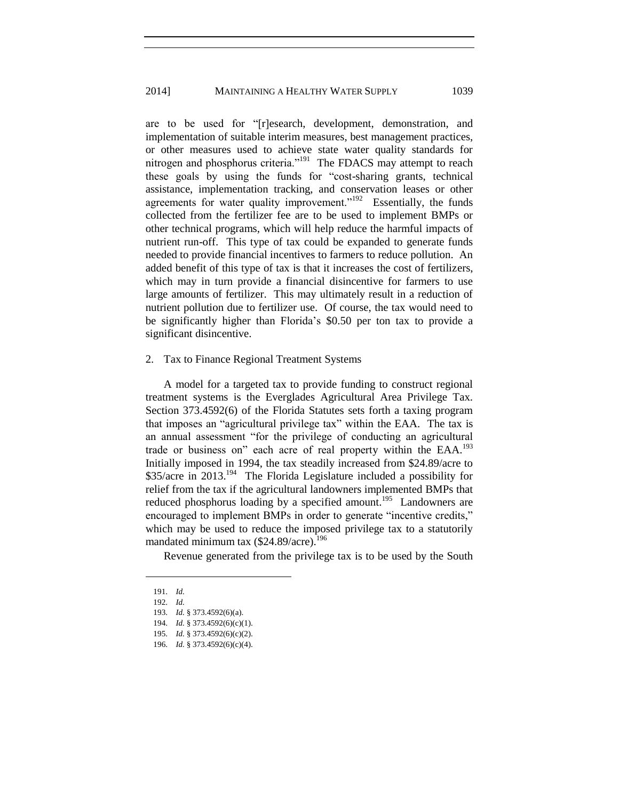are to be used for "[r]esearch, development, demonstration, and implementation of suitable interim measures, best management practices, or other measures used to achieve state water quality standards for nitrogen and phosphorus criteria."<sup>191</sup> The FDACS may attempt to reach these goals by using the funds for "cost-sharing grants, technical assistance, implementation tracking, and conservation leases or other agreements for water quality improvement."<sup>192</sup> Essentially, the funds collected from the fertilizer fee are to be used to implement BMPs or other technical programs, which will help reduce the harmful impacts of nutrient run-off. This type of tax could be expanded to generate funds needed to provide financial incentives to farmers to reduce pollution. An added benefit of this type of tax is that it increases the cost of fertilizers, which may in turn provide a financial disincentive for farmers to use large amounts of fertilizer. This may ultimately result in a reduction of nutrient pollution due to fertilizer use. Of course, the tax would need to be significantly higher than Florida's \$0.50 per ton tax to provide a significant disincentive.

### 2. Tax to Finance Regional Treatment Systems

A model for a targeted tax to provide funding to construct regional treatment systems is the Everglades Agricultural Area Privilege Tax. Section 373.4592(6) of the Florida Statutes sets forth a taxing program that imposes an "agricultural privilege tax" within the EAA. The tax is an annual assessment "for the privilege of conducting an agricultural trade or business on" each acre of real property within the EAA.<sup>193</sup> Initially imposed in 1994, the tax steadily increased from \$24.89/acre to \$35/acre in 2013.<sup>194</sup> The Florida Legislature included a possibility for relief from the tax if the agricultural landowners implemented BMPs that reduced phosphorus loading by a specified amount.<sup>195</sup> Landowners are encouraged to implement BMPs in order to generate "incentive credits," which may be used to reduce the imposed privilege tax to a statutorily mandated minimum tax  $(\$24.89/acre).<sup>196</sup>$ 

Revenue generated from the privilege tax is to be used by the South

<sup>191.</sup> *Id.*

<sup>192.</sup> *Id.*

<sup>193.</sup> *Id.* § 373.4592(6)(a).

<sup>194.</sup> *Id.* § 373.4592(6)(c)(1).

<sup>195.</sup> *Id.* § 373.4592(6)(c)(2).

<sup>196.</sup> *Id.* § 373.4592(6)(c)(4).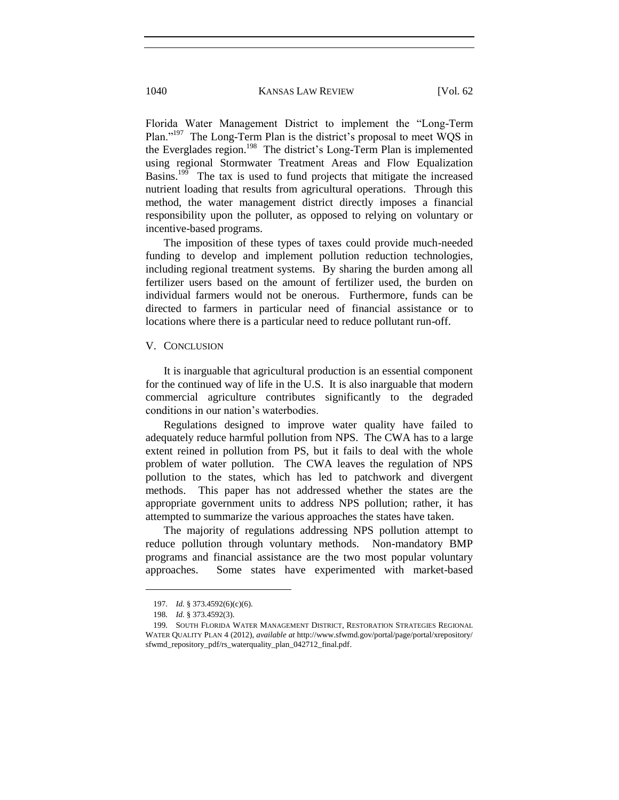Florida Water Management District to implement the "Long-Term Plan."<sup>197</sup> The Long-Term Plan is the district's proposal to meet WQS in the Everglades region.<sup>198</sup> The district's Long-Term Plan is implemented using regional Stormwater Treatment Areas and Flow Equalization Basins.<sup>199</sup> The tax is used to fund projects that mitigate the increased nutrient loading that results from agricultural operations. Through this method, the water management district directly imposes a financial responsibility upon the polluter, as opposed to relying on voluntary or incentive-based programs.

The imposition of these types of taxes could provide much-needed funding to develop and implement pollution reduction technologies, including regional treatment systems. By sharing the burden among all fertilizer users based on the amount of fertilizer used, the burden on individual farmers would not be onerous. Furthermore, funds can be directed to farmers in particular need of financial assistance or to locations where there is a particular need to reduce pollutant run-off.

### V. CONCLUSION

It is inarguable that agricultural production is an essential component for the continued way of life in the U.S. It is also inarguable that modern commercial agriculture contributes significantly to the degraded conditions in our nation's waterbodies.

Regulations designed to improve water quality have failed to adequately reduce harmful pollution from NPS. The CWA has to a large extent reined in pollution from PS, but it fails to deal with the whole problem of water pollution. The CWA leaves the regulation of NPS pollution to the states, which has led to patchwork and divergent methods. This paper has not addressed whether the states are the appropriate government units to address NPS pollution; rather, it has attempted to summarize the various approaches the states have taken.

The majority of regulations addressing NPS pollution attempt to reduce pollution through voluntary methods. Non-mandatory BMP programs and financial assistance are the two most popular voluntary approaches. Some states have experimented with market-based

 $\overline{\phantom{a}}$ 

<sup>197.</sup> *Id.* § 373.4592(6)(c)(6).

<sup>198.</sup> *Id.* § 373.4592(3).

<sup>199.</sup> SOUTH FLORIDA WATER MANAGEMENT DISTRICT, RESTORATION STRATEGIES REGIONAL WATER QUALITY PLAN 4 (2012), *available at* <http://www.sfwmd.gov/portal/page/portal/xrepository/> sfwmd\_repository\_pdf/rs\_waterquality\_plan\_042712\_final.pdf.